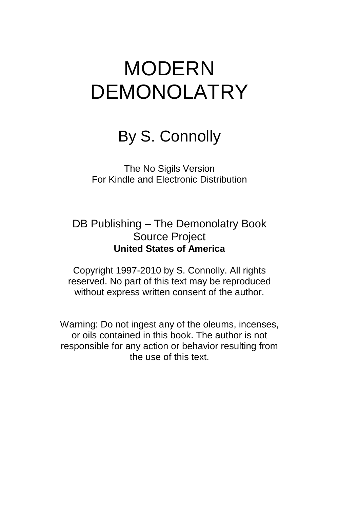# MODERN DEMONOLATRY

## By S. Connolly

The No Sigils Version For Kindle and Electronic Distribution

DB Publishing – The Demonolatry Book Source Project **United States of America**

Copyright 1997-2010 by S. Connolly. All rights reserved. No part of this text may be reproduced without express written consent of the author.

Warning: Do not ingest any of the oleums, incenses, or oils contained in this book. The author is not responsible for any action or behavior resulting from the use of this text.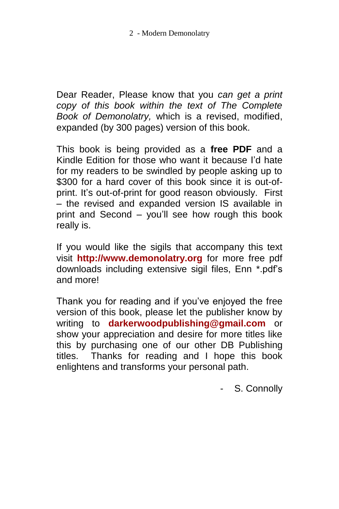Dear Reader, Please know that you *can get a print copy of this book within the text of The Complete Book of Demonolatry,* which is a revised, modified, expanded (by 300 pages) version of this book.

This book is being provided as a **free PDF** and a Kindle Edition for those who want it because I'd hate for my readers to be swindled by people asking up to \$300 for a hard cover of this book since it is out-ofprint. It's out-of-print for good reason obviously. First – the revised and expanded version IS available in print and Second – you'll see how rough this book really is.

If you would like the sigils that accompany this text visit **[http://www.demonolatry.org](http://www.demonolatry.org/)** for more free pdf downloads including extensive sigil files, Enn \*.pdf's and more!

Thank you for reading and if you've enjoyed the free version of this book, please let the publisher know by writing to **[darkerwoodpublishing@gmail.com](mailto:darkerwoodpublishing@gmail.com)** or show your appreciation and desire for more titles like this by purchasing one of our other DB Publishing titles. Thanks for reading and I hope this book enlightens and transforms your personal path.

S. Connolly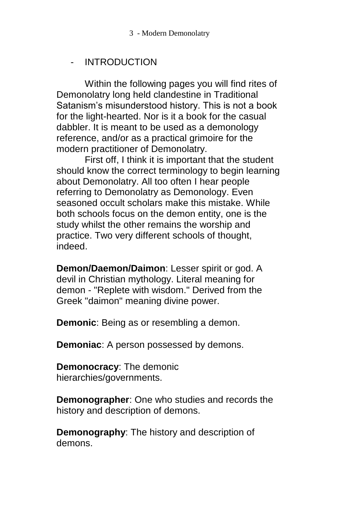3 - Modern Demonolatry

#### - INTRODUCTION

Within the following pages you will find rites of Demonolatry long held clandestine in Traditional Satanism's misunderstood history. This is not a book for the light-hearted. Nor is it a book for the casual dabbler. It is meant to be used as a demonology reference, and/or as a practical grimoire for the modern practitioner of Demonolatry.

First off, I think it is important that the student should know the correct terminology to begin learning about Demonolatry. All too often I hear people referring to Demonolatry as Demonology. Even seasoned occult scholars make this mistake. While both schools focus on the demon entity, one is the study whilst the other remains the worship and practice. Two very different schools of thought, indeed.

**Demon/Daemon/Daimon**: Lesser spirit or god. A devil in Christian mythology. Literal meaning for demon - "Replete with wisdom." Derived from the Greek "daimon" meaning divine power.

**Demonic**: Being as or resembling a demon.

**Demoniac**: A person possessed by demons.

**Demonocracy**: The demonic hierarchies/governments.

**Demonographer**: One who studies and records the history and description of demons.

**Demonography**: The history and description of demons.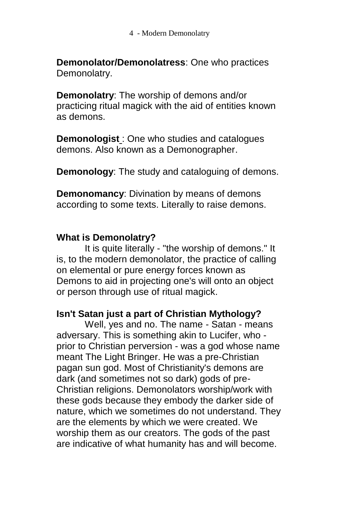**Demonolator/Demonolatress**: One who practices Demonolatry.

**Demonolatry**: The worship of demons and/or practicing ritual magick with the aid of entities known as demons.

**Demonologist** : One who studies and catalogues demons. Also known as a Demonographer.

**Demonology**: The study and cataloguing of demons.

**Demonomancy**: Divination by means of demons according to some texts. Literally to raise demons.

#### **What is Demonolatry?**

It is quite literally - "the worship of demons." It is, to the modern demonolator, the practice of calling on elemental or pure energy forces known as Demons to aid in projecting one's will onto an object or person through use of ritual magick.

#### **Isn't Satan just a part of Christian Mythology?**

Well, yes and no. The name - Satan - means adversary. This is something akin to Lucifer, who prior to Christian perversion - was a god whose name meant The Light Bringer. He was a pre-Christian pagan sun god. Most of Christianity's demons are dark (and sometimes not so dark) gods of pre-Christian religions. Demonolators worship/work with these gods because they embody the darker side of nature, which we sometimes do not understand. They are the elements by which we were created. We worship them as our creators. The gods of the past are indicative of what humanity has and will become.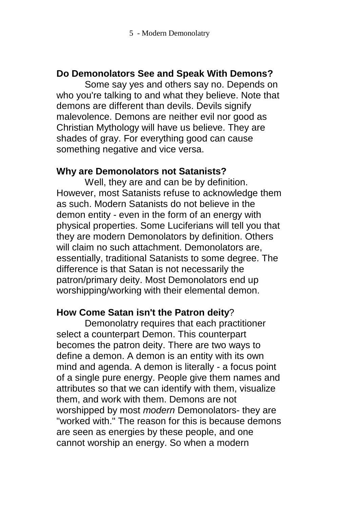#### **Do Demonolators See and Speak With Demons?**

Some say yes and others say no. Depends on who you're talking to and what they believe. Note that demons are different than devils. Devils signify malevolence. Demons are neither evil nor good as Christian Mythology will have us believe. They are shades of gray. For everything good can cause something negative and vice versa.

#### **Why are Demonolators not Satanists?**

Well, they are and can be by definition. However, most Satanists refuse to acknowledge them as such. Modern Satanists do not believe in the demon entity - even in the form of an energy with physical properties. Some Luciferians will tell you that they are modern Demonolators by definition. Others will claim no such attachment. Demonolators are, essentially, traditional Satanists to some degree. The difference is that Satan is not necessarily the patron/primary deity. Most Demonolators end up worshipping/working with their elemental demon.

#### **How Come Satan isn't the Patron deity**?

Demonolatry requires that each practitioner select a counterpart Demon. This counterpart becomes the patron deity. There are two ways to define a demon. A demon is an entity with its own mind and agenda. A demon is literally - a focus point of a single pure energy. People give them names and attributes so that we can identify with them, visualize them, and work with them. Demons are not worshipped by most *modern* Demonolators- they are "worked with." The reason for this is because demons are seen as energies by these people, and one cannot worship an energy. So when a modern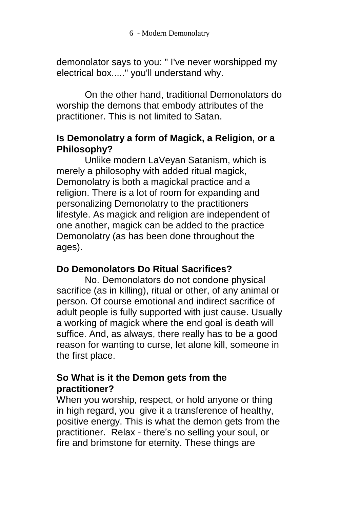demonolator says to you: " I've never worshipped my electrical box....." you'll understand why.

On the other hand, traditional Demonolators do worship the demons that embody attributes of the practitioner. This is not limited to Satan.

#### **Is Demonolatry a form of Magick, a Religion, or a Philosophy?**

Unlike modern LaVeyan Satanism, which is merely a philosophy with added ritual magick, Demonolatry is both a magickal practice and a religion. There is a lot of room for expanding and personalizing Demonolatry to the practitioners lifestyle. As magick and religion are independent of one another, magick can be added to the practice Demonolatry (as has been done throughout the ages).

#### **Do Demonolators Do Ritual Sacrifices?**

No. Demonolators do not condone physical sacrifice (as in killing), ritual or other, of any animal or person. Of course emotional and indirect sacrifice of adult people is fully supported with just cause. Usually a working of magick where the end goal is death will suffice. And, as always, there really has to be a good reason for wanting to curse, let alone kill, someone in the first place.

#### **So What is it the Demon gets from the practitioner?**

When you worship, respect, or hold anyone or thing in high regard, you give it a transference of healthy, positive energy. This is what the demon gets from the practitioner. Relax - there's no selling your soul, or fire and brimstone for eternity. These things are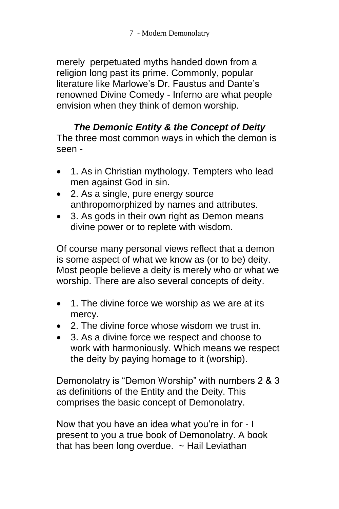merely perpetuated myths handed down from a religion long past its prime. Commonly, popular literature like Marlowe's Dr. Faustus and Dante's renowned Divine Comedy - Inferno are what people envision when they think of demon worship.

#### *The Demonic Entity & the Concept of Deity* The three most common ways in which the demon is seen -

- 1. As in Christian mythology. Tempters who lead men against God in sin.
- 2. As a single, pure energy source anthropomorphized by names and attributes.
- 3. As gods in their own right as Demon means divine power or to replete with wisdom.

Of course many personal views reflect that a demon is some aspect of what we know as (or to be) deity. Most people believe a deity is merely who or what we worship. There are also several concepts of deity.

- 1. The divine force we worship as we are at its mercy.
- 2. The divine force whose wisdom we trust in.
- 3. As a divine force we respect and choose to work with harmoniously. Which means we respect the deity by paying homage to it (worship).

Demonolatry is "Demon Worship" with numbers 2 & 3 as definitions of the Entity and the Deity. This comprises the basic concept of Demonolatry.

Now that you have an idea what you're in for - I present to you a true book of Demonolatry. A book that has been long overdue.  $\sim$  Hail Leviathan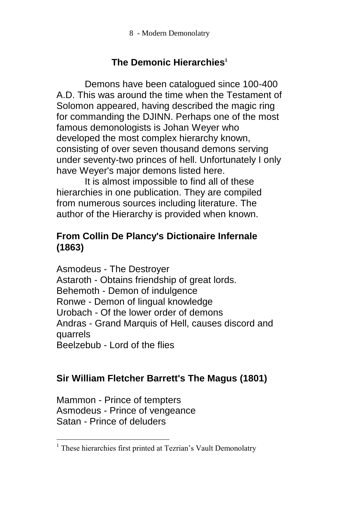8 - Modern Demonolatry

## **The Demonic Hierarchies<sup>1</sup>**

Demons have been catalogued since 100-400 A.D. This was around the time when the Testament of Solomon appeared, having described the magic ring for commanding the DJINN. Perhaps one of the most famous demonologists is Johan Weyer who developed the most complex hierarchy known, consisting of over seven thousand demons serving under seventy-two princes of hell. Unfortunately I only have Weyer's major demons listed here.

It is almost impossible to find all of these hierarchies in one publication. They are compiled from numerous sources including literature. The author of the Hierarchy is provided when known.

#### **From Collin De Plancy's Dictionaire Infernale (1863)**

Asmodeus - The Destroyer Astaroth - Obtains friendship of great lords. Behemoth - Demon of indulgence Ronwe - Demon of lingual knowledge Urobach - Of the lower order of demons Andras - Grand Marquis of Hell, causes discord and quarrels Beelzebub - Lord of the flies

#### **Sir William Fletcher Barrett's The Magus (1801)**

Mammon - Prince of tempters Asmodeus - Prince of vengeance Satan - Prince of deluders

 $\overline{a}$ 

<sup>&</sup>lt;sup>1</sup> These hierarchies first printed at Tezrian's Vault Demonolatry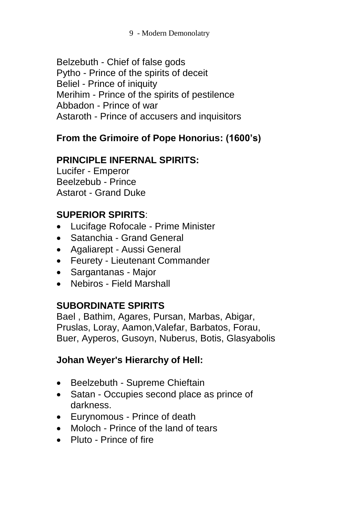9 - Modern Demonolatry

Belzebuth - Chief of false gods Pytho - Prince of the spirits of deceit Beliel - Prince of iniquity Merihim - Prince of the spirits of pestilence Abbadon - Prince of war Astaroth - Prince of accusers and inquisitors

## **From the Grimoire of Pope Honorius: (1600's)**

## **PRINCIPLE INFERNAL SPIRITS:**

Lucifer - Emperor Beelzebub - Prince Astarot - Grand Duke

## **SUPERIOR SPIRITS**:

- Lucifage Rofocale Prime Minister
- Satanchia Grand General
- Agaliarept Aussi General
- Feurety Lieutenant Commander
- Sargantanas Major
- Nebiros Field Marshall

## **SUBORDINATE SPIRITS**

Bael , Bathim, Agares, Pursan, Marbas, Abigar, Pruslas, Loray, Aamon,Valefar, Barbatos, Forau, Buer, Ayperos, Gusoyn, Nuberus, Botis, Glasyabolis

## **Johan Weyer's Hierarchy of Hell:**

- Beelzebuth Supreme Chieftain
- Satan Occupies second place as prince of darkness.
- Eurynomous Prince of death
- Moloch Prince of the land of tears
- Pluto Prince of fire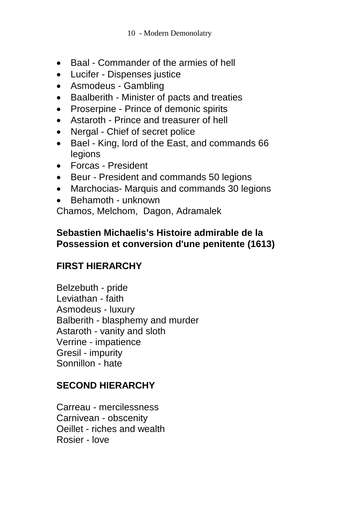- Baal Commander of the armies of hell
- Lucifer Dispenses justice
- Asmodeus Gambling
- Baalberith Minister of pacts and treaties
- Proserpine Prince of demonic spirits
- Astaroth Prince and treasurer of hell
- Nergal Chief of secret police
- Bael King, lord of the East, and commands 66 legions
- Forcas President
- Beur President and commands 50 legions
- Marchocias- Marquis and commands 30 legions
- Behamoth unknown

Chamos, Melchom, Dagon, Adramalek

#### **Sebastien Michaelis's Histoire admirable de la Possession et conversion d'une penitente (1613)**

## **FIRST HIERARCHY**

Belzebuth - pride Leviathan - faith Asmodeus - luxury Balberith - blasphemy and murder Astaroth - vanity and sloth Verrine - impatience Gresil - impurity Sonnillon - hate

#### **SECOND HIERARCHY**

Carreau - mercilessness Carnivean - obscenity Oeillet - riches and wealth Rosier - love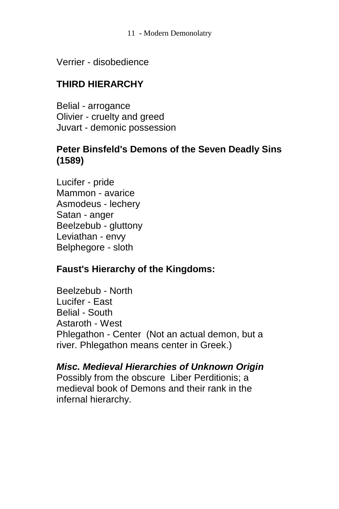11 - Modern Demonolatry

Verrier - disobedience

## **THIRD HIERARCHY**

Belial - arrogance Olivier - cruelty and greed Juvart - demonic possession

#### **Peter Binsfeld's Demons of the Seven Deadly Sins (1589)**

Lucifer - pride Mammon - avarice Asmodeus - lechery Satan - anger Beelzebub - gluttony Leviathan - envy Belphegore - sloth

#### **Faust's Hierarchy of the Kingdoms:**

Beelzebub - North Lucifer - East Belial - South Astaroth - West Phlegathon - Center (Not an actual demon, but a river. Phlegathon means center in Greek.)

*Misc. Medieval Hierarchies of Unknown Origin* Possibly from the obscure Liber Perditionis; a medieval book of Demons and their rank in the infernal hierarchy.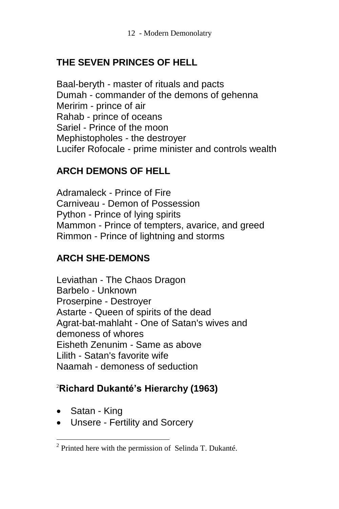## **THE SEVEN PRINCES OF HELL**

Baal-beryth - master of rituals and pacts Dumah - commander of the demons of gehenna Meririm - prince of air Rahab - prince of oceans Sariel - Prince of the moon Mephistopholes - the destroyer Lucifer Rofocale - prime minister and controls wealth

#### **ARCH DEMONS OF HELL**

Adramaleck - Prince of Fire Carniveau - Demon of Possession Python - Prince of lying spirits Mammon - Prince of tempters, avarice, and greed Rimmon - Prince of lightning and storms

#### **ARCH SHE-DEMONS**

Leviathan - The Chaos Dragon Barbelo - Unknown Proserpine - Destroyer Astarte - Queen of spirits of the dead Agrat-bat-mahlaht - One of Satan's wives and demoness of whores Eisheth Zenunim - Same as above Lilith - Satan's favorite wife Naamah - demoness of seduction

## <sup>2</sup>**Richard Dukanté's Hierarchy (1963)**

• Satan - King

 $\overline{a}$ 

• Unsere - Fertility and Sorcery

 $2$  Printed here with the permission of Selinda T. Dukanté.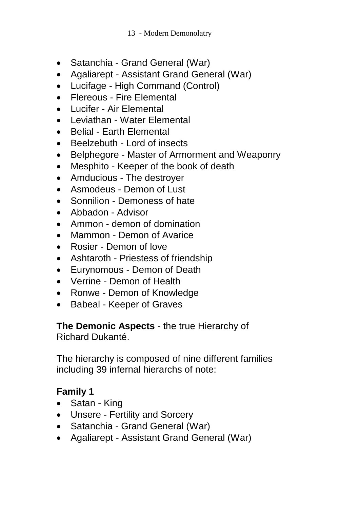- Satanchia Grand General (War)
- Agaliarept Assistant Grand General (War)
- Lucifage High Command (Control)
- Flereous Fire Elemental
- Lucifer Air Elemental
- Leviathan Water Flemental
- Belial Earth Elemental
- Beelzebuth Lord of insects
- Belphegore Master of Armorment and Weaponry
- Mesphito Keeper of the book of death
- Amducious The destroyer
- Asmodeus Demon of Lust
- Sonnilion Demoness of hate
- Abbadon Advisor
- Ammon demon of domination
- Mammon Demon of Avarice
- Rosier Demon of love
- Ashtaroth Priestess of friendship
- Eurynomous Demon of Death
- Verrine Demon of Health
- Ronwe Demon of Knowledge
- Babeal Keeper of Graves

## **The Demonic Aspects** - the true Hierarchy of

Richard Dukanté.

The hierarchy is composed of nine different families including 39 infernal hierarchs of note:

## **Family 1**

- Satan King
- Unsere Fertility and Sorcery
- Satanchia Grand General (War)
- Agaliarept Assistant Grand General (War)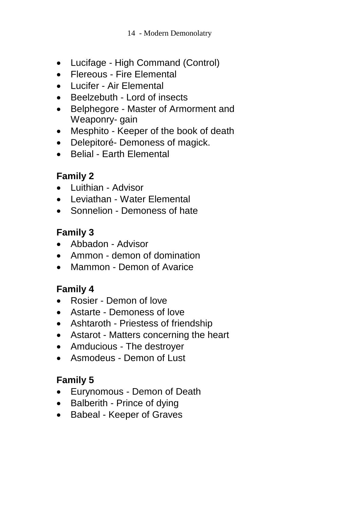- Lucifage High Command (Control)
- Flereous Fire Elemental
- Lucifer Air Elemental
- Beelzebuth Lord of insects
- Belphegore Master of Armorment and Weaponry- gain
- Mesphito Keeper of the book of death
- Delepitoré- Demoness of magick.
- Belial Earth Elemental

## **Family 2**

- Luithian Advisor
- Leviathan Water Flemental
- Sonnelion Demoness of hate

## **Family 3**

- Abbadon Advisor
- Ammon demon of domination
- Mammon Demon of Avarice

## **Family 4**

- Rosier Demon of love
- Astarte Demoness of love
- Ashtaroth Priestess of friendship
- Astarot Matters concerning the heart
- Amducious The destroyer
- Asmodeus Demon of Lust

## **Family 5**

- Eurynomous Demon of Death
- Balberith Prince of dying
- Babeal Keeper of Graves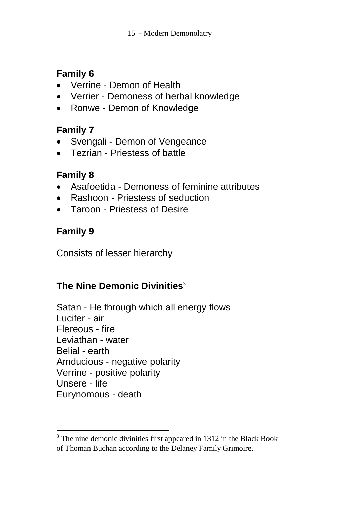## **Family 6**

- Verrine Demon of Health
- Verrier Demoness of herbal knowledge
- Ronwe Demon of Knowledge

## **Family 7**

- Svengali Demon of Vengeance
- Tezrian Priestess of battle

## **Family 8**

- Asafoetida Demoness of feminine attributes
- Rashoon Priestess of seduction
- Taroon Priestess of Desire

## **Family 9**

 $\overline{\phantom{a}}$ 

Consists of lesser hierarchy

## **The Nine Demonic Divinities**<sup>3</sup>

Satan - He through which all energy flows Lucifer - air Flereous - fire Leviathan - water Belial - earth Amducious - negative polarity Verrine - positive polarity Unsere - life Eurynomous - death

 $3$  The nine demonic divinities first appeared in 1312 in the Black Book of Thoman Buchan according to the Delaney Family Grimoire.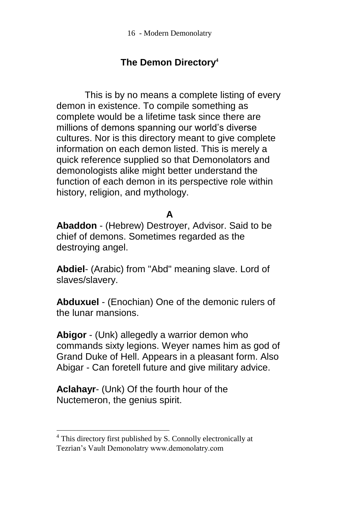## **The Demon Directory<sup>4</sup>**

This is by no means a complete listing of every demon in existence. To compile something as complete would be a lifetime task since there are millions of demons spanning our world's diverse cultures. Nor is this directory meant to give complete information on each demon listed. This is merely a quick reference supplied so that Demonolators and demonologists alike might better understand the function of each demon in its perspective role within history, religion, and mythology.

## **A**

**Abaddon** - (Hebrew) Destroyer, Advisor. Said to be chief of demons. Sometimes regarded as the destroying angel.

**Abdiel**- (Arabic) from "Abd" meaning slave. Lord of slaves/slavery.

**Abduxuel** - (Enochian) One of the demonic rulers of the lunar mansions.

**Abigor** - (Unk) allegedly a warrior demon who commands sixty legions. Weyer names him as god of Grand Duke of Hell. Appears in a pleasant form. Also Abigar - Can foretell future and give military advice.

**Aclahayr**- (Unk) Of the fourth hour of the Nuctemeron, the genius spirit.

 $\overline{\phantom{a}}$ 

<sup>4</sup> This directory first published by S. Connolly electronically at Tezrian"s Vault Demonolatry www.demonolatry.com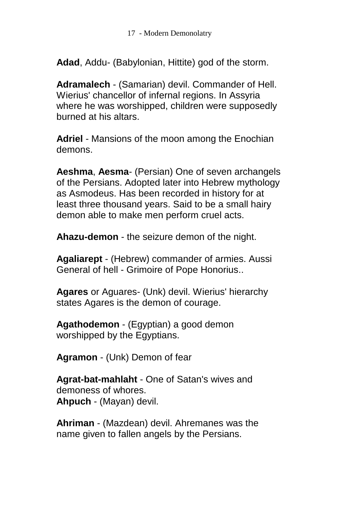**Adad**, Addu- (Babylonian, Hittite) god of the storm.

**Adramalech** - (Samarian) devil. Commander of Hell. Wierius' chancellor of infernal regions. In Assyria where he was worshipped, children were supposedly burned at his altars.

**Adriel** - Mansions of the moon among the Enochian demons.

**Aeshma**, **Aesma**- (Persian) One of seven archangels of the Persians. Adopted later into Hebrew mythology as Asmodeus. Has been recorded in history for at least three thousand years. Said to be a small hairy demon able to make men perform cruel acts.

**Ahazu-demon** - the seizure demon of the night.

**Agaliarept** - (Hebrew) commander of armies. Aussi General of hell - Grimoire of Pope Honorius..

**Agares** or Aguares- (Unk) devil. Wierius' hierarchy states Agares is the demon of courage.

**Agathodemon** - (Egyptian) a good demon worshipped by the Egyptians.

**Agramon** - (Unk) Demon of fear

**Agrat-bat-mahlaht** - One of Satan's wives and demoness of whores. **Ahpuch** - (Mayan) devil.

**Ahriman** - (Mazdean) devil. Ahremanes was the name given to fallen angels by the Persians.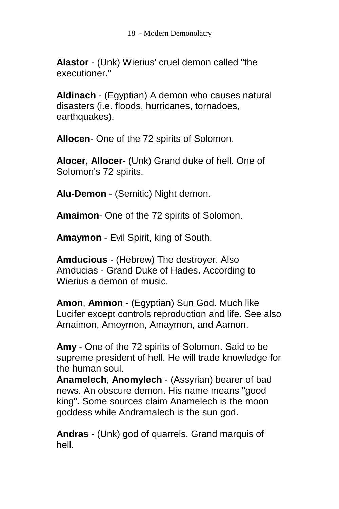18 - Modern Demonolatry

**Alastor** - (Unk) Wierius' cruel demon called "the executioner."

**Aldinach** - (Egyptian) A demon who causes natural disasters (i.e. floods, hurricanes, tornadoes, earthquakes).

**Allocen**- One of the 72 spirits of Solomon.

**Alocer, Allocer**- (Unk) Grand duke of hell. One of Solomon's 72 spirits.

**Alu-Demon** - (Semitic) Night demon.

**Amaimon**- One of the 72 spirits of Solomon.

**Amaymon** - Evil Spirit, king of South.

**Amducious** - (Hebrew) The destroyer. Also Amducias - Grand Duke of Hades. According to Wierius a demon of music.

**Amon**, **Ammon** - (Egyptian) Sun God. Much like Lucifer except controls reproduction and life. See also Amaimon, Amoymon, Amaymon, and Aamon.

**Amy** - One of the 72 spirits of Solomon. Said to be supreme president of hell. He will trade knowledge for the human soul.

**Anamelech**, **Anomylech** - (Assyrian) bearer of bad news. An obscure demon. His name means "good king". Some sources claim Anamelech is the moon goddess while Andramalech is the sun god.

**Andras** - (Unk) god of quarrels. Grand marquis of hell.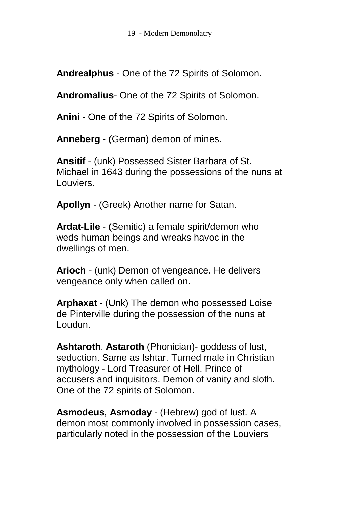**Andrealphus** - One of the 72 Spirits of Solomon.

**Andromalius**- One of the 72 Spirits of Solomon.

**Anini** - One of the 72 Spirits of Solomon.

**Anneberg** - (German) demon of mines.

**Ansitif** - (unk) Possessed Sister Barbara of St. Michael in 1643 during the possessions of the nuns at Louviers.

**Apollyn** - (Greek) Another name for Satan.

**Ardat-Lile** - (Semitic) a female spirit/demon who weds human beings and wreaks havoc in the dwellings of men.

**Arioch** - (unk) Demon of vengeance. He delivers vengeance only when called on.

**Arphaxat** - (Unk) The demon who possessed Loise de Pinterville during the possession of the nuns at Loudun.

**Ashtaroth**, **Astaroth** (Phonician)- goddess of lust, seduction. Same as Ishtar. Turned male in Christian mythology - Lord Treasurer of Hell. Prince of accusers and inquisitors. Demon of vanity and sloth. One of the 72 spirits of Solomon.

**Asmodeus**, **Asmoday** - (Hebrew) god of lust. A demon most commonly involved in possession cases, particularly noted in the possession of the Louviers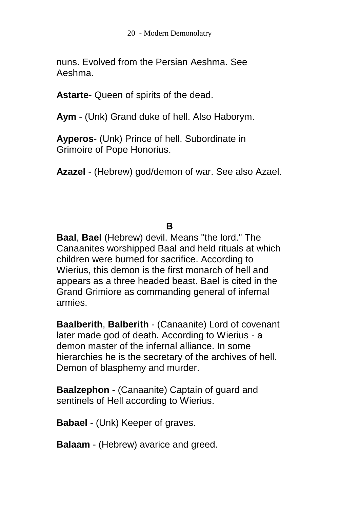nuns. Evolved from the Persian Aeshma. See Aeshma.

**Astarte**- Queen of spirits of the dead.

**Aym** - (Unk) Grand duke of hell. Also Haborym.

**Ayperos**- (Unk) Prince of hell. Subordinate in Grimoire of Pope Honorius.

**Azazel** - (Hebrew) god/demon of war. See also Azael.

#### **B**

**Baal**, **Bael** (Hebrew) devil. Means "the lord." The Canaanites worshipped Baal and held rituals at which children were burned for sacrifice. According to Wierius, this demon is the first monarch of hell and appears as a three headed beast. Bael is cited in the Grand Grimiore as commanding general of infernal armies.

**Baalberith**, **Balberith** - (Canaanite) Lord of covenant later made god of death. According to Wierius - a demon master of the infernal alliance. In some hierarchies he is the secretary of the archives of hell. Demon of blasphemy and murder.

**Baalzephon** - (Canaanite) Captain of guard and sentinels of Hell according to Wierius.

**Babael** - (Unk) Keeper of graves.

**Balaam** - (Hebrew) avarice and greed.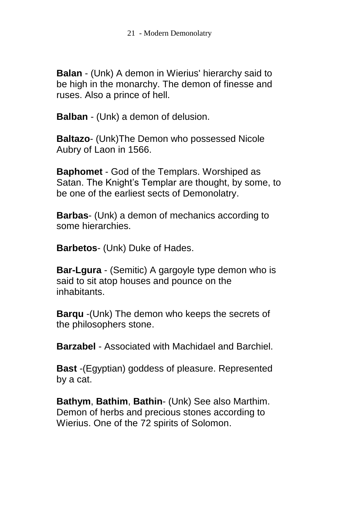**Balan** - (Unk) A demon in Wierius' hierarchy said to be high in the monarchy. The demon of finesse and ruses. Also a prince of hell.

**Balban** - (Unk) a demon of delusion.

**Baltazo**- (Unk)The Demon who possessed Nicole Aubry of Laon in 1566.

**Baphomet** - God of the Templars. Worshiped as Satan. The Knight's Templar are thought, by some, to be one of the earliest sects of Demonolatry.

**Barbas**- (Unk) a demon of mechanics according to some hierarchies.

**Barbetos**- (Unk) Duke of Hades.

**Bar-Lgura** - (Semitic) A gargoyle type demon who is said to sit atop houses and pounce on the inhabitants.

**Barqu** -(Unk) The demon who keeps the secrets of the philosophers stone.

**Barzabel** - Associated with Machidael and Barchiel.

**Bast** -(Egyptian) goddess of pleasure. Represented by a cat.

**Bathym**, **Bathim**, **Bathin**- (Unk) See also Marthim. Demon of herbs and precious stones according to Wierius. One of the 72 spirits of Solomon.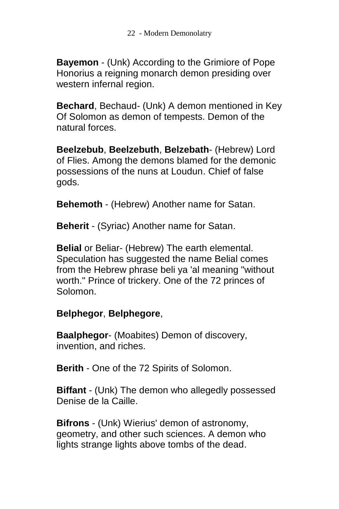**Bayemon** - (Unk) According to the Grimiore of Pope Honorius a reigning monarch demon presiding over western infernal region.

**Bechard**, Bechaud- (Unk) A demon mentioned in Key Of Solomon as demon of tempests. Demon of the natural forces.

**Beelzebub**, **Beelzebuth**, **Belzebath**- (Hebrew) Lord of Flies. Among the demons blamed for the demonic possessions of the nuns at Loudun. Chief of false gods.

**Behemoth** - (Hebrew) Another name for Satan.

**Beherit** - (Syriac) Another name for Satan.

**Belial** or Beliar- (Hebrew) The earth elemental. Speculation has suggested the name Belial comes from the Hebrew phrase beli ya 'al meaning "without worth." Prince of trickery. One of the 72 princes of Solomon.

#### **Belphegor**, **Belphegore**,

**Baalphegor**- (Moabites) Demon of discovery, invention, and riches.

**Berith** - One of the 72 Spirits of Solomon.

**Biffant** - (Unk) The demon who allegedly possessed Denise de la Caille.

**Bifrons** - (Unk) Wierius' demon of astronomy, geometry, and other such sciences. A demon who lights strange lights above tombs of the dead.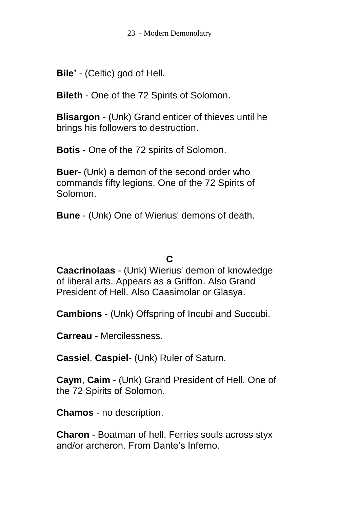**Bile'** - (Celtic) god of Hell.

**Bileth** - One of the 72 Spirits of Solomon.

**Blisargon** - (Unk) Grand enticer of thieves until he brings his followers to destruction.

**Botis** - One of the 72 spirits of Solomon.

**Buer**- (Unk) a demon of the second order who commands fifty legions. One of the 72 Spirits of Solomon.

**Bune** - (Unk) One of Wierius' demons of death.

#### **C**

**Caacrinolaas** - (Unk) Wierius' demon of knowledge of liberal arts. Appears as a Griffon. Also Grand President of Hell. Also Caasimolar or Glasya.

**Cambions** - (Unk) Offspring of Incubi and Succubi.

**Carreau** - Mercilessness.

**Cassiel**, **Caspiel**- (Unk) Ruler of Saturn.

**Caym**, **Caim** - (Unk) Grand President of Hell. One of the 72 Spirits of Solomon.

**Chamos** - no description.

**Charon** - Boatman of hell. Ferries souls across styx and/or archeron. From Dante's Inferno.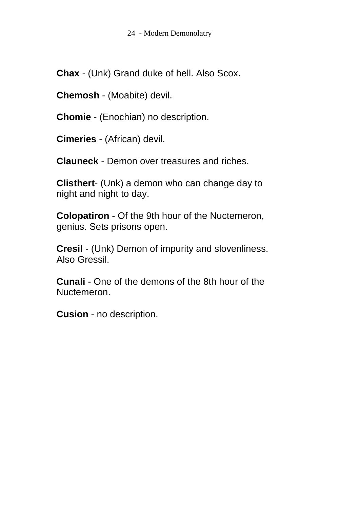**Chax** - (Unk) Grand duke of hell. Also Scox.

**Chemosh** - (Moabite) devil.

**Chomie** - (Enochian) no description.

**Cimeries** - (African) devil.

**Clauneck** - Demon over treasures and riches.

**Clisthert**- (Unk) a demon who can change day to night and night to day.

**Colopatiron** - Of the 9th hour of the Nuctemeron, genius. Sets prisons open.

**Cresil** - (Unk) Demon of impurity and slovenliness. Also Gressil.

**Cunali** - One of the demons of the 8th hour of the Nuctemeron.

**Cusion** - no description.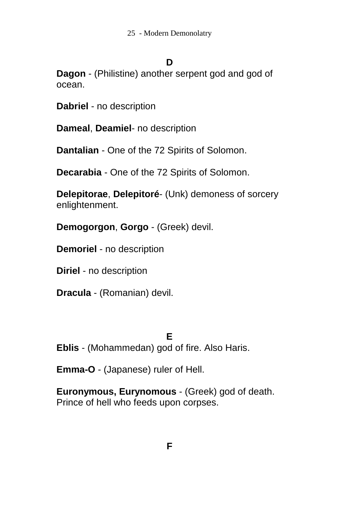#### **D**

**Dagon** - (Philistine) another serpent god and god of ocean.

**Dabriel** - no description

**Dameal**, **Deamiel**- no description

**Dantalian** - One of the 72 Spirits of Solomon.

**Decarabia** - One of the 72 Spirits of Solomon.

**Delepitorae**, **Delepitoré**- (Unk) demoness of sorcery enlightenment.

**Demogorgon**, **Gorgo** - (Greek) devil.

**Demoriel** - no description

**Diriel** - no description

**Dracula** - (Romanian) devil.

#### **E**

**Eblis** - (Mohammedan) god of fire. Also Haris.

**Emma-O** - (Japanese) ruler of Hell.

**Euronymous, Eurynomous** - (Greek) god of death. Prince of hell who feeds upon corpses.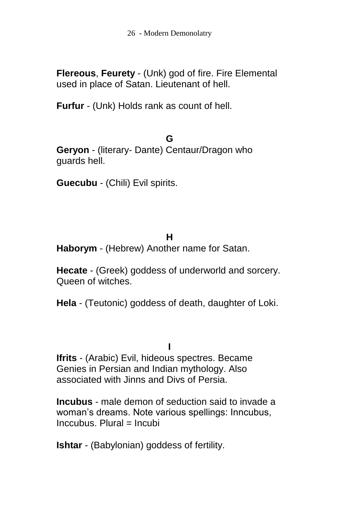**Flereous**, **Feurety** - (Unk) god of fire. Fire Elemental used in place of Satan. Lieutenant of hell.

**Furfur** - (Unk) Holds rank as count of hell.

**G**

**Geryon** - (literary- Dante) Centaur/Dragon who guards hell.

**Guecubu** - (Chili) Evil spirits.

#### **H**

**Haborym** - (Hebrew) Another name for Satan.

**Hecate** - (Greek) goddess of underworld and sorcery. Queen of witches.

**Hela** - (Teutonic) goddess of death, daughter of Loki.

**I Ifrits** - (Arabic) Evil, hideous spectres. Became Genies in Persian and Indian mythology. Also associated with Jinns and Divs of Persia.

**Incubus** - male demon of seduction said to invade a woman's dreams. Note various spellings: Inncubus, Inccubus. Plural = Incubi

**Ishtar** - (Babylonian) goddess of fertility.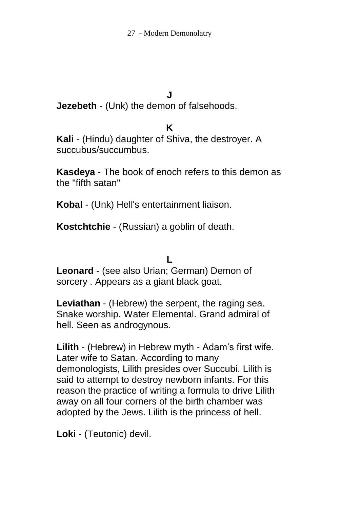#### **J**

**Jezebeth** - (Unk) the demon of falsehoods.

#### **K**

**Kali** - (Hindu) daughter of Shiva, the destroyer. A succubus/succumbus.

**Kasdeya** - The book of enoch refers to this demon as the "fifth satan"

**Kobal** - (Unk) Hell's entertainment liaison.

**Kostchtchie** - (Russian) a goblin of death.

#### **L**

**Leonard** - (see also Urian; German) Demon of sorcery . Appears as a giant black goat.

**Leviathan** - (Hebrew) the serpent, the raging sea. Snake worship. Water Elemental. Grand admiral of hell. Seen as androgynous.

**Lilith** - (Hebrew) in Hebrew myth - Adam's first wife. Later wife to Satan. According to many demonologists, Lilith presides over Succubi. Lilith is said to attempt to destroy newborn infants. For this reason the practice of writing a formula to drive Lilith away on all four corners of the birth chamber was adopted by the Jews. Lilith is the princess of hell.

**Loki** - (Teutonic) devil.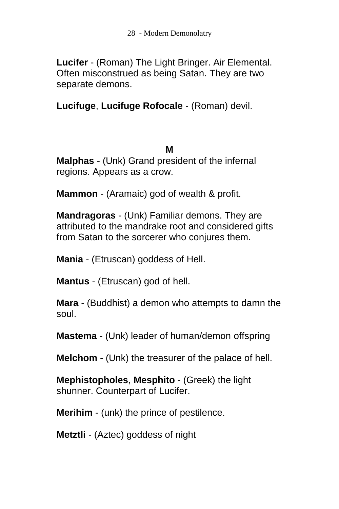**Lucifer** - (Roman) The Light Bringer. Air Elemental. Often misconstrued as being Satan. They are two separate demons.

**Lucifuge**, **Lucifuge Rofocale** - (Roman) devil.

#### **M**

**Malphas** - (Unk) Grand president of the infernal regions. Appears as a crow.

**Mammon** - (Aramaic) god of wealth & profit.

**Mandragoras** - (Unk) Familiar demons. They are attributed to the mandrake root and considered gifts from Satan to the sorcerer who conjures them.

**Mania** - (Etruscan) goddess of Hell.

**Mantus** - (Etruscan) god of hell.

**Mara** - (Buddhist) a demon who attempts to damn the soul.

**Mastema** - (Unk) leader of human/demon offspring

**Melchom** - (Unk) the treasurer of the palace of hell.

**Mephistopholes**, **Mesphito** - (Greek) the light shunner. Counterpart of Lucifer.

**Merihim** - (unk) the prince of pestilence.

**Metztli** - (Aztec) goddess of night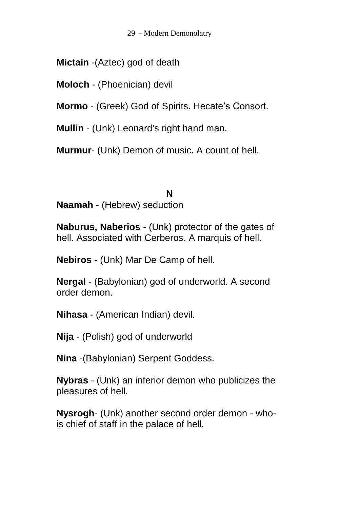29 - Modern Demonolatry

**Mictain** -(Aztec) god of death

**Moloch** - (Phoenician) devil

**Mormo** - (Greek) God of Spirits. Hecate's Consort.

**Mullin** - (Unk) Leonard's right hand man.

**Murmur**- (Unk) Demon of music. A count of hell.

#### **N**

**Naamah** - (Hebrew) seduction

**Naburus, Naberios** - (Unk) protector of the gates of hell. Associated with Cerberos. A marquis of hell.

**Nebiros** - (Unk) Mar De Camp of hell.

**Nergal** - (Babylonian) god of underworld. A second order demon.

**Nihasa** - (American Indian) devil.

**Nija** - (Polish) god of underworld

**Nina** -(Babylonian) Serpent Goddess.

**Nybras** - (Unk) an inferior demon who publicizes the pleasures of hell.

**Nysrogh**- (Unk) another second order demon - whois chief of staff in the palace of hell.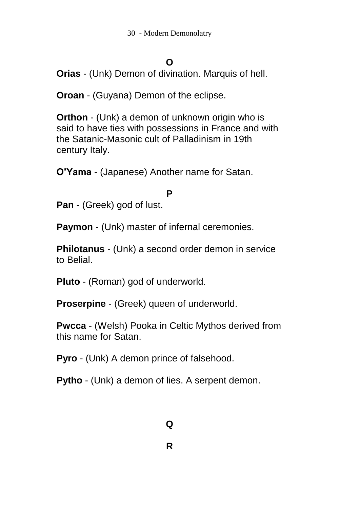#### **O**

**Orias** - (Unk) Demon of divination. Marquis of hell.

**Oroan** - (Guyana) Demon of the eclipse.

**Orthon** - (Unk) a demon of unknown origin who is said to have ties with possessions in France and with the Satanic-Masonic cult of Palladinism in 19th century Italy.

**O'Yama** - (Japanese) Another name for Satan.

#### **P**

**Pan** - (Greek) god of lust.

**Paymon** - (Unk) master of infernal ceremonies.

**Philotanus** - (Unk) a second order demon in service to Belial.

**Pluto** - (Roman) god of underworld.

**Proserpine** - (Greek) queen of underworld.

**Pwcca** - (Welsh) Pooka in Celtic Mythos derived from this name for Satan.

**Pyro** - (Unk) A demon prince of falsehood.

**Pytho** - (Unk) a demon of lies. A serpent demon.

#### **Q**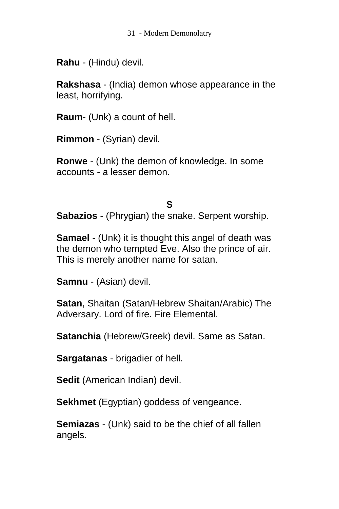**Rahu** - (Hindu) devil.

**Rakshasa** - (India) demon whose appearance in the least, horrifying.

**Raum**- (Unk) a count of hell.

**Rimmon** - (Syrian) devil.

**Ronwe** - (Unk) the demon of knowledge. In some accounts - a lesser demon.

#### **S**

**Sabazios** - (Phrygian) the snake. Serpent worship.

**Samael** - (Unk) it is thought this angel of death was the demon who tempted Eve. Also the prince of air. This is merely another name for satan.

**Samnu** - (Asian) devil.

**Satan**, Shaitan (Satan/Hebrew Shaitan/Arabic) The Adversary. Lord of fire. Fire Elemental.

**Satanchia** (Hebrew/Greek) devil. Same as Satan.

**Sargatanas** - brigadier of hell.

**Sedit** (American Indian) devil.

**Sekhmet** (Egyptian) goddess of vengeance.

**Semiazas** - (Unk) said to be the chief of all fallen angels.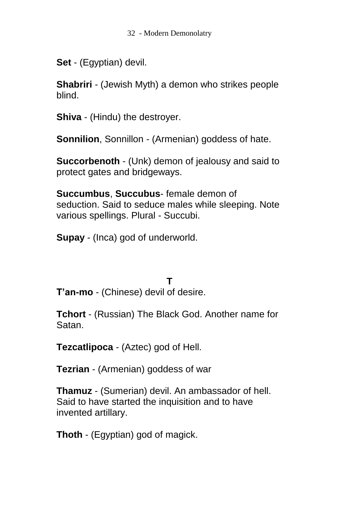**Set** - (Egyptian) devil.

**Shabriri** - (Jewish Myth) a demon who strikes people blind.

**Shiva** - (Hindu) the destroyer.

**Sonnilion**, Sonnillon - (Armenian) goddess of hate.

**Succorbenoth** - (Unk) demon of jealousy and said to protect gates and bridgeways.

**Succumbus**, **Succubus**- female demon of seduction. Said to seduce males while sleeping. Note various spellings. Plural - Succubi.

**Supay** - (Inca) god of underworld.

**T**

**T'an-mo** - (Chinese) devil of desire.

**Tchort** - (Russian) The Black God. Another name for Satan.

**Tezcatlipoca** - (Aztec) god of Hell.

**Tezrian** - (Armenian) goddess of war

**Thamuz** - (Sumerian) devil. An ambassador of hell. Said to have started the inquisition and to have invented artillary.

**Thoth** - (Egyptian) god of magick.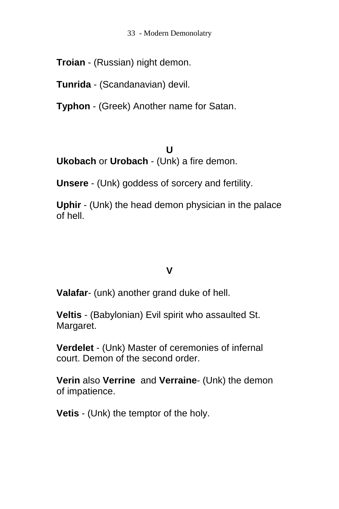33 - Modern Demonolatry

**Troian** - (Russian) night demon.

**Tunrida** - (Scandanavian) devil.

**Typhon** - (Greek) Another name for Satan.

**U Ukobach** or **Urobach** - (Unk) a fire demon.

**Unsere** - (Unk) goddess of sorcery and fertility.

**Uphir** - (Unk) the head demon physician in the palace of hell.

## **V**

**Valafar**- (unk) another grand duke of hell.

**Veltis** - (Babylonian) Evil spirit who assaulted St. Margaret.

**Verdelet** - (Unk) Master of ceremonies of infernal court. Demon of the second order.

**Verin** also **Verrine** and **Verraine**- (Unk) the demon of impatience.

**Vetis** - (Unk) the temptor of the holy.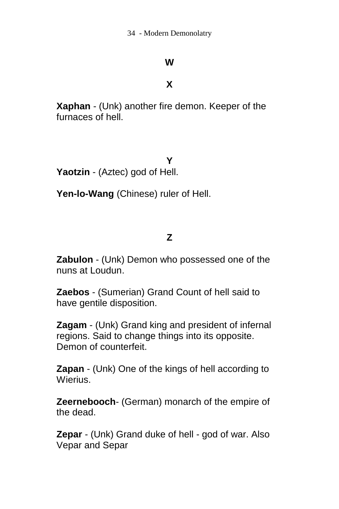#### **W**

#### **X**

**Xaphan** - (Unk) another fire demon. Keeper of the furnaces of hell.

**Y**

**Yaotzin** - (Aztec) god of Hell.

**Yen-lo-Wang** (Chinese) ruler of Hell.

#### **Z**

**Zabulon** - (Unk) Demon who possessed one of the nuns at Loudun.

**Zaebos** - (Sumerian) Grand Count of hell said to have gentile disposition.

**Zagam** - (Unk) Grand king and president of infernal regions. Said to change things into its opposite. Demon of counterfeit.

**Zapan** - (Unk) One of the kings of hell according to Wierius.

**Zeernebooch**- (German) monarch of the empire of the dead.

**Zepar** - (Unk) Grand duke of hell - god of war. Also Vepar and Separ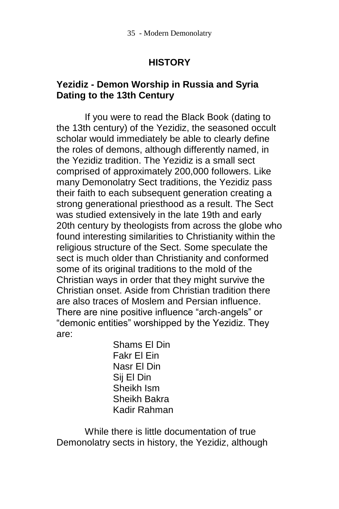## **HISTORY**

#### **Yezidiz - Demon Worship in Russia and Syria Dating to the 13th Century**

If you were to read the Black Book (dating to the 13th century) of the Yezidiz, the seasoned occult scholar would immediately be able to clearly define the roles of demons, although differently named, in the Yezidiz tradition. The Yezidiz is a small sect comprised of approximately 200,000 followers. Like many Demonolatry Sect traditions, the Yezidiz pass their faith to each subsequent generation creating a strong generational priesthood as a result. The Sect was studied extensively in the late 19th and early 20th century by theologists from across the globe who found interesting similarities to Christianity within the religious structure of the Sect. Some speculate the sect is much older than Christianity and conformed some of its original traditions to the mold of the Christian ways in order that they might survive the Christian onset. Aside from Christian tradition there are also traces of Moslem and Persian influence. There are nine positive influence "arch-angels" or "demonic entities" worshipped by the Yezidiz. They are:

Shams El Din Fakr El Ein Nasr El Din Sij El Din Sheikh Ism Sheikh Bakra Kadir Rahman

While there is little documentation of true Demonolatry sects in history, the Yezidiz, although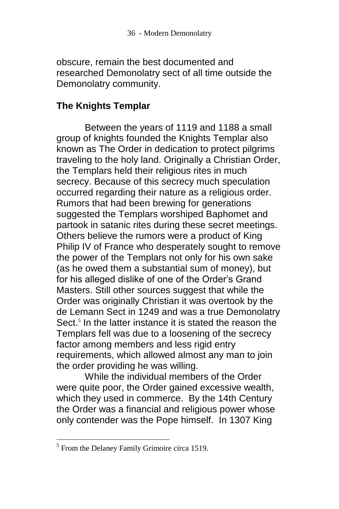obscure, remain the best documented and researched Demonolatry sect of all time outside the Demonolatry community.

#### **The Knights Templar**

Between the years of 1119 and 1188 a small group of knights founded the Knights Templar also known as The Order in dedication to protect pilgrims traveling to the holy land. Originally a Christian Order, the Templars held their religious rites in much secrecy. Because of this secrecy much speculation occurred regarding their nature as a religious order. Rumors that had been brewing for generations suggested the Templars worshiped Baphomet and partook in satanic rites during these secret meetings. Others believe the rumors were a product of King Philip IV of France who desperately sought to remove the power of the Templars not only for his own sake (as he owed them a substantial sum of money), but for his alleged dislike of one of the Order's Grand Masters. Still other sources suggest that while the Order was originally Christian it was overtook by the de Lemann Sect in 1249 and was a true Demonolatry Sect.<sup>5</sup> In the latter instance it is stated the reason the Templars fell was due to a loosening of the secrecy factor among members and less rigid entry requirements, which allowed almost any man to join the order providing he was willing.

While the individual members of the Order were quite poor, the Order gained excessive wealth, which they used in commerce. By the 14th Century the Order was a financial and religious power whose only contender was the Pope himself. In 1307 King

 $\overline{a}$ 

<sup>&</sup>lt;sup>5</sup> From the Delaney Family Grimoire circa 1519.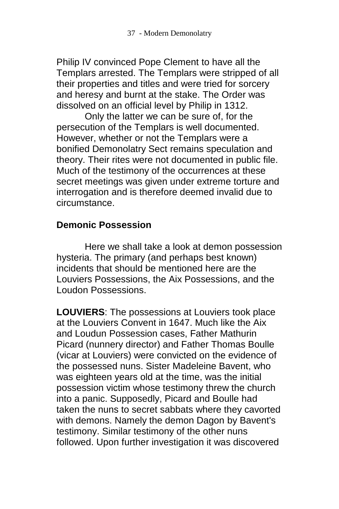Philip IV convinced Pope Clement to have all the Templars arrested. The Templars were stripped of all their properties and titles and were tried for sorcery and heresy and burnt at the stake. The Order was dissolved on an official level by Philip in 1312.

Only the latter we can be sure of, for the persecution of the Templars is well documented. However, whether or not the Templars were a bonified Demonolatry Sect remains speculation and theory. Their rites were not documented in public file. Much of the testimony of the occurrences at these secret meetings was given under extreme torture and interrogation and is therefore deemed invalid due to circumstance.

#### **Demonic Possession**

Here we shall take a look at demon possession hysteria. The primary (and perhaps best known) incidents that should be mentioned here are the Louviers Possessions, the Aix Possessions, and the Loudon Possessions.

**LOUVIERS**: The possessions at Louviers took place at the Louviers Convent in 1647. Much like the Aix and Loudun Possession cases, Father Mathurin Picard (nunnery director) and Father Thomas Boulle (vicar at Louviers) were convicted on the evidence of the possessed nuns. Sister Madeleine Bavent, who was eighteen years old at the time, was the initial possession victim whose testimony threw the church into a panic. Supposedly, Picard and Boulle had taken the nuns to secret sabbats where they cavorted with demons. Namely the demon Dagon by Bavent's testimony. Similar testimony of the other nuns followed. Upon further investigation it was discovered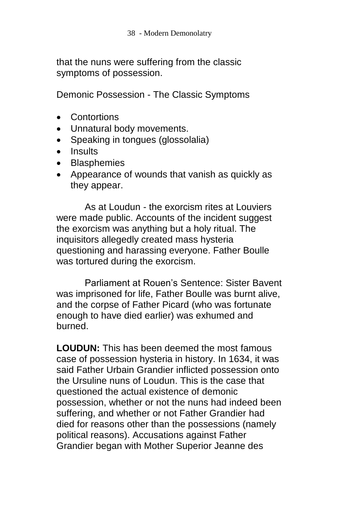that the nuns were suffering from the classic symptoms of possession.

Demonic Possession - The Classic Symptoms

- **Contortions**
- Unnatural body movements.
- Speaking in tongues (glossolalia)
- Insults
- Blasphemies
- Appearance of wounds that vanish as quickly as they appear.

As at Loudun - the exorcism rites at Louviers were made public. Accounts of the incident suggest the exorcism was anything but a holy ritual. The inquisitors allegedly created mass hysteria questioning and harassing everyone. Father Boulle was tortured during the exorcism.

Parliament at Rouen's Sentence: Sister Bavent was imprisoned for life, Father Boulle was burnt alive, and the corpse of Father Picard (who was fortunate enough to have died earlier) was exhumed and burned.

**LOUDUN:** This has been deemed the most famous case of possession hysteria in history. In 1634, it was said Father Urbain Grandier inflicted possession onto the Ursuline nuns of Loudun. This is the case that questioned the actual existence of demonic possession, whether or not the nuns had indeed been suffering, and whether or not Father Grandier had died for reasons other than the possessions (namely political reasons). Accusations against Father Grandier began with Mother Superior Jeanne des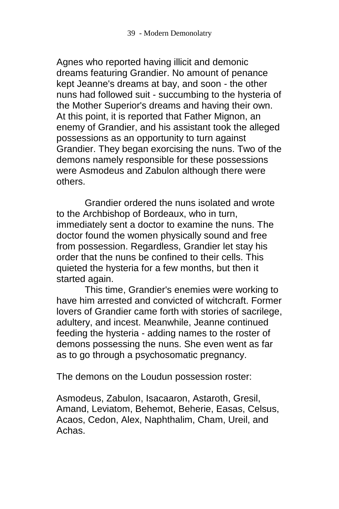Agnes who reported having illicit and demonic dreams featuring Grandier. No amount of penance kept Jeanne's dreams at bay, and soon - the other nuns had followed suit - succumbing to the hysteria of the Mother Superior's dreams and having their own. At this point, it is reported that Father Mignon, an enemy of Grandier, and his assistant took the alleged possessions as an opportunity to turn against Grandier. They began exorcising the nuns. Two of the demons namely responsible for these possessions were Asmodeus and Zabulon although there were others.

Grandier ordered the nuns isolated and wrote to the Archbishop of Bordeaux, who in turn, immediately sent a doctor to examine the nuns. The doctor found the women physically sound and free from possession. Regardless, Grandier let stay his order that the nuns be confined to their cells. This quieted the hysteria for a few months, but then it started again.

This time, Grandier's enemies were working to have him arrested and convicted of witchcraft. Former lovers of Grandier came forth with stories of sacrilege, adultery, and incest. Meanwhile, Jeanne continued feeding the hysteria - adding names to the roster of demons possessing the nuns. She even went as far as to go through a psychosomatic pregnancy.

The demons on the Loudun possession roster:

Asmodeus, Zabulon, Isacaaron, Astaroth, Gresil, Amand, Leviatom, Behemot, Beherie, Easas, Celsus, Acaos, Cedon, Alex, Naphthalim, Cham, Ureil, and Achas.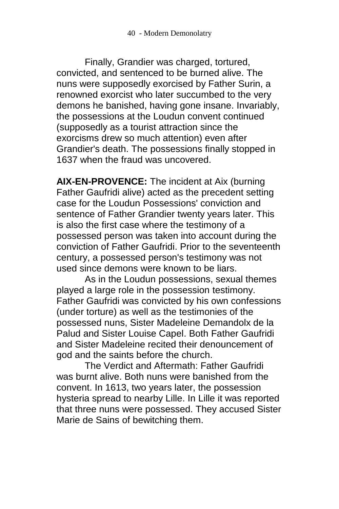Finally, Grandier was charged, tortured, convicted, and sentenced to be burned alive. The nuns were supposedly exorcised by Father Surin, a renowned exorcist who later succumbed to the very demons he banished, having gone insane. Invariably, the possessions at the Loudun convent continued (supposedly as a tourist attraction since the exorcisms drew so much attention) even after Grandier's death. The possessions finally stopped in 1637 when the fraud was uncovered.

**AIX-EN-PROVENCE:** The incident at Aix (burning Father Gaufridi alive) acted as the precedent setting case for the Loudun Possessions' conviction and sentence of Father Grandier twenty years later. This is also the first case where the testimony of a possessed person was taken into account during the conviction of Father Gaufridi. Prior to the seventeenth century, a possessed person's testimony was not used since demons were known to be liars.

As in the Loudun possessions, sexual themes played a large role in the possession testimony. Father Gaufridi was convicted by his own confessions (under torture) as well as the testimonies of the possessed nuns, Sister Madeleine Demandolx de la Palud and Sister Louise Capel. Both Father Gaufridi and Sister Madeleine recited their denouncement of god and the saints before the church.

The Verdict and Aftermath: Father Gaufridi was burnt alive. Both nuns were banished from the convent. In 1613, two years later, the possession hysteria spread to nearby Lille. In Lille it was reported that three nuns were possessed. They accused Sister Marie de Sains of bewitching them.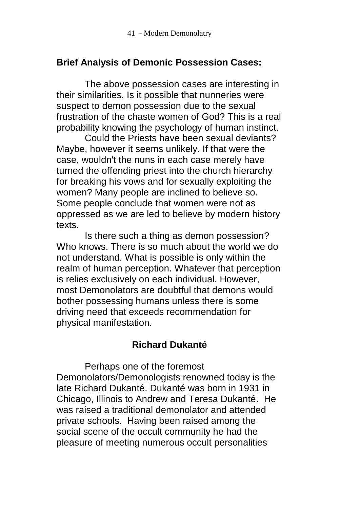### **Brief Analysis of Demonic Possession Cases:**

The above possession cases are interesting in their similarities. Is it possible that nunneries were suspect to demon possession due to the sexual frustration of the chaste women of God? This is a real probability knowing the psychology of human instinct.

Could the Priests have been sexual deviants? Maybe, however it seems unlikely. If that were the case, wouldn't the nuns in each case merely have turned the offending priest into the church hierarchy for breaking his vows and for sexually exploiting the women? Many people are inclined to believe so. Some people conclude that women were not as oppressed as we are led to believe by modern history texts.

Is there such a thing as demon possession? Who knows. There is so much about the world we do not understand. What is possible is only within the realm of human perception. Whatever that perception is relies exclusively on each individual. However, most Demonolators are doubtful that demons would bother possessing humans unless there is some driving need that exceeds recommendation for physical manifestation.

## **Richard Dukanté**

Perhaps one of the foremost Demonolators/Demonologists renowned today is the late Richard Dukanté. Dukanté was born in 1931 in Chicago, Illinois to Andrew and Teresa Dukanté. He was raised a traditional demonolator and attended private schools. Having been raised among the social scene of the occult community he had the pleasure of meeting numerous occult personalities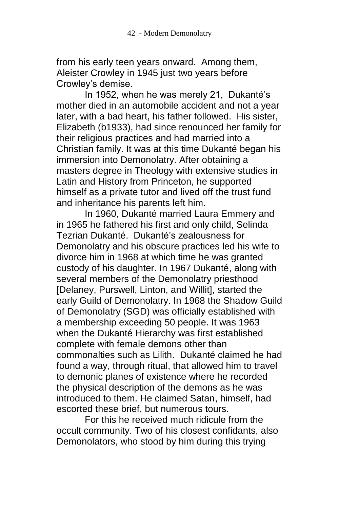from his early teen years onward. Among them, Aleister Crowley in 1945 just two years before Crowley's demise.

In 1952, when he was merely 21, Dukanté's mother died in an automobile accident and not a year later, with a bad heart, his father followed. His sister, Elizabeth (b1933), had since renounced her family for their religious practices and had married into a Christian family. It was at this time Dukanté began his immersion into Demonolatry. After obtaining a masters degree in Theology with extensive studies in Latin and History from Princeton, he supported himself as a private tutor and lived off the trust fund and inheritance his parents left him.

In 1960, Dukanté married Laura Emmery and in 1965 he fathered his first and only child, Selinda Tezrian Dukanté. Dukanté's zealousness for Demonolatry and his obscure practices led his wife to divorce him in 1968 at which time he was granted custody of his daughter. In 1967 Dukanté, along with several members of the Demonolatry priesthood [Delaney, Purswell, Linton, and Willit], started the early Guild of Demonolatry. In 1968 the Shadow Guild of Demonolatry (SGD) was officially established with a membership exceeding 50 people. It was 1963 when the Dukanté Hierarchy was first established complete with female demons other than commonalties such as Lilith. Dukanté claimed he had found a way, through ritual, that allowed him to travel to demonic planes of existence where he recorded the physical description of the demons as he was introduced to them. He claimed Satan, himself, had escorted these brief, but numerous tours.

For this he received much ridicule from the occult community. Two of his closest confidants, also Demonolators, who stood by him during this trying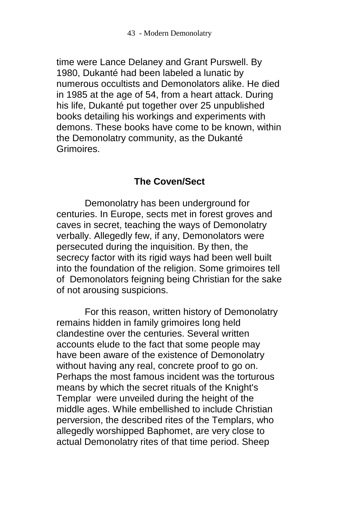time were Lance Delaney and Grant Purswell. By 1980, Dukanté had been labeled a lunatic by numerous occultists and Demonolators alike. He died in 1985 at the age of 54, from a heart attack. During his life, Dukanté put together over 25 unpublished books detailing his workings and experiments with demons. These books have come to be known, within the Demonolatry community, as the Dukanté Grimoires.

#### **The Coven/Sect**

Demonolatry has been underground for centuries. In Europe, sects met in forest groves and caves in secret, teaching the ways of Demonolatry verbally. Allegedly few, if any, Demonolators were persecuted during the inquisition. By then, the secrecy factor with its rigid ways had been well built into the foundation of the religion. Some grimoires tell of Demonolators feigning being Christian for the sake of not arousing suspicions.

For this reason, written history of Demonolatry remains hidden in family grimoires long held clandestine over the centuries. Several written accounts elude to the fact that some people may have been aware of the existence of Demonolatry without having any real, concrete proof to go on. Perhaps the most famous incident was the torturous means by which the secret rituals of the Knight's Templar were unveiled during the height of the middle ages. While embellished to include Christian perversion, the described rites of the Templars, who allegedly worshipped Baphomet, are very close to actual Demonolatry rites of that time period. Sheep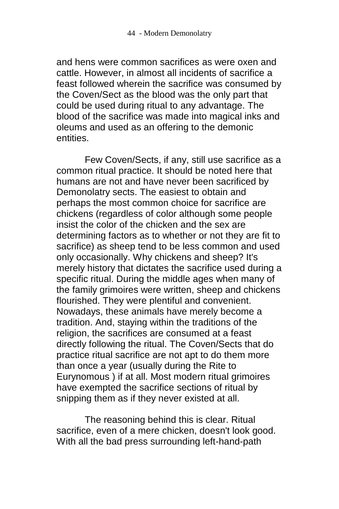and hens were common sacrifices as were oxen and cattle. However, in almost all incidents of sacrifice a feast followed wherein the sacrifice was consumed by the Coven/Sect as the blood was the only part that could be used during ritual to any advantage. The blood of the sacrifice was made into magical inks and oleums and used as an offering to the demonic entities.

Few Coven/Sects, if any, still use sacrifice as a common ritual practice. It should be noted here that humans are not and have never been sacrificed by Demonolatry sects. The easiest to obtain and perhaps the most common choice for sacrifice are chickens (regardless of color although some people insist the color of the chicken and the sex are determining factors as to whether or not they are fit to sacrifice) as sheep tend to be less common and used only occasionally. Why chickens and sheep? It's merely history that dictates the sacrifice used during a specific ritual. During the middle ages when many of the family grimoires were written, sheep and chickens flourished. They were plentiful and convenient. Nowadays, these animals have merely become a tradition. And, staying within the traditions of the religion, the sacrifices are consumed at a feast directly following the ritual. The Coven/Sects that do practice ritual sacrifice are not apt to do them more than once a year (usually during the Rite to Eurynomous ) if at all. Most modern ritual grimoires have exempted the sacrifice sections of ritual by snipping them as if they never existed at all.

The reasoning behind this is clear. Ritual sacrifice, even of a mere chicken, doesn't look good. With all the bad press surrounding left-hand-path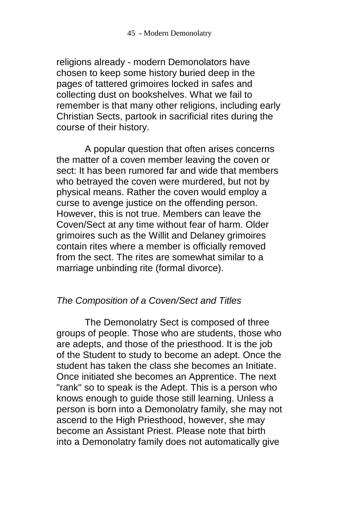religions already - modern Demonolators have chosen to keep some history buried deep in the pages of tattered grimoires locked in safes and collecting dust on bookshelves. What we fail to remember is that many other religions, including early Christian Sects, partook in sacrificial rites during the course of their history.

A popular question that often arises concerns the matter of a coven member leaving the coven or sect: It has been rumored far and wide that members who betrayed the coven were murdered, but not by physical means. Rather the coven would employ a curse to avenge justice on the offending person. However, this is not true. Members can leave the Coven/Sect at any time without fear of harm. Older grimoires such as the Willit and Delaney grimoires contain rites where a member is officially removed from the sect. The rites are somewhat similar to a marriage unbinding rite (formal divorce).

#### *The Composition of a Coven/Sect and Titles*

The Demonolatry Sect is composed of three groups of people. Those who are students, those who are adepts, and those of the priesthood. It is the job of the Student to study to become an adept. Once the student has taken the class she becomes an Initiate. Once initiated she becomes an Apprentice. The next "rank" so to speak is the Adept. This is a person who knows enough to guide those still learning. Unless a person is born into a Demonolatry family, she may not ascend to the High Priesthood, however, she may become an Assistant Priest. Please note that birth into a Demonolatry family does not automatically give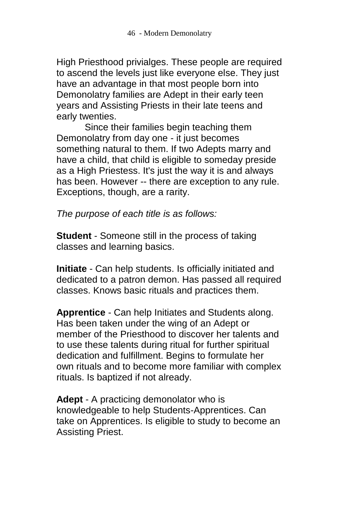High Priesthood privialges. These people are required to ascend the levels just like everyone else. They just have an advantage in that most people born into Demonolatry families are Adept in their early teen years and Assisting Priests in their late teens and early twenties.

Since their families begin teaching them Demonolatry from day one - it just becomes something natural to them. If two Adepts marry and have a child, that child is eligible to someday preside as a High Priestess. It's just the way it is and always has been. However -- there are exception to any rule. Exceptions, though, are a rarity.

*The purpose of each title is as follows:*

**Student** - Someone still in the process of taking classes and learning basics.

**Initiate** - Can help students. Is officially initiated and dedicated to a patron demon. Has passed all required classes. Knows basic rituals and practices them.

**Apprentice** - Can help Initiates and Students along. Has been taken under the wing of an Adept or member of the Priesthood to discover her talents and to use these talents during ritual for further spiritual dedication and fulfillment. Begins to formulate her own rituals and to become more familiar with complex rituals. Is baptized if not already.

**Adept** - A practicing demonolator who is knowledgeable to help Students-Apprentices. Can take on Apprentices. Is eligible to study to become an Assisting Priest.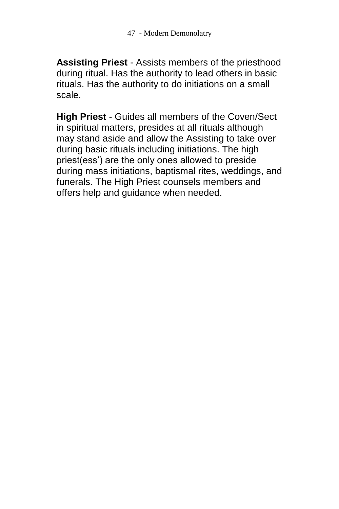**Assisting Priest** - Assists members of the priesthood during ritual. Has the authority to lead others in basic rituals. Has the authority to do initiations on a small scale.

**High Priest** - Guides all members of the Coven/Sect in spiritual matters, presides at all rituals although may stand aside and allow the Assisting to take over during basic rituals including initiations. The high priest(ess') are the only ones allowed to preside during mass initiations, baptismal rites, weddings, and funerals. The High Priest counsels members and offers help and guidance when needed.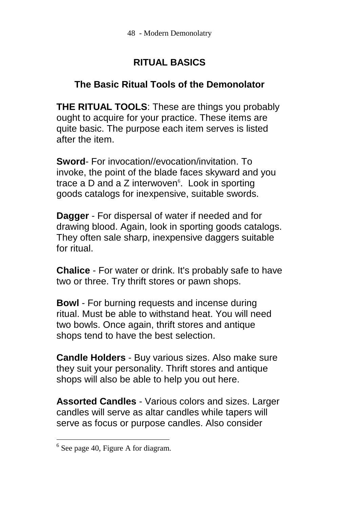# **RITUAL BASICS**

## **The Basic Ritual Tools of the Demonolator**

**THE RITUAL TOOLS**: These are things you probably ought to acquire for your practice. These items are quite basic. The purpose each item serves is listed after the item.

**Sword**- For invocation//evocation/invitation. To invoke, the point of the blade faces skyward and you trace a D and a Z interwoven $6$ . Look in sporting goods catalogs for inexpensive, suitable swords.

**Dagger** - For dispersal of water if needed and for drawing blood. Again, look in sporting goods catalogs. They often sale sharp, inexpensive daggers suitable for ritual.

**Chalice** - For water or drink. It's probably safe to have two or three. Try thrift stores or pawn shops.

**Bowl** - For burning requests and incense during ritual. Must be able to withstand heat. You will need two bowls. Once again, thrift stores and antique shops tend to have the best selection.

**Candle Holders** - Buy various sizes. Also make sure they suit your personality. Thrift stores and antique shops will also be able to help you out here.

**Assorted Candles** - Various colors and sizes. Larger candles will serve as altar candles while tapers will serve as focus or purpose candles. Also consider

 $\overline{a}$ 

 $6$  See page 40, Figure A for diagram.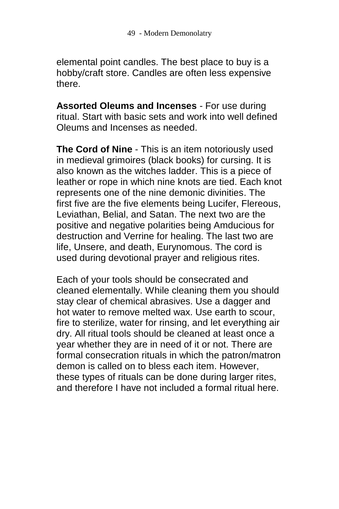elemental point candles. The best place to buy is a hobby/craft store. Candles are often less expensive there.

**Assorted Oleums and Incenses** - For use during ritual. Start with basic sets and work into well defined Oleums and Incenses as needed.

**The Cord of Nine** - This is an item notoriously used in medieval grimoires (black books) for cursing. It is also known as the witches ladder. This is a piece of leather or rope in which nine knots are tied. Each knot represents one of the nine demonic divinities. The first five are the five elements being Lucifer, Flereous, Leviathan, Belial, and Satan. The next two are the positive and negative polarities being Amducious for destruction and Verrine for healing. The last two are life, Unsere, and death, Eurynomous. The cord is used during devotional prayer and religious rites.

Each of your tools should be consecrated and cleaned elementally. While cleaning them you should stay clear of chemical abrasives. Use a dagger and hot water to remove melted wax. Use earth to scour, fire to sterilize, water for rinsing, and let everything air dry. All ritual tools should be cleaned at least once a year whether they are in need of it or not. There are formal consecration rituals in which the patron/matron demon is called on to bless each item. However, these types of rituals can be done during larger rites, and therefore I have not included a formal ritual here.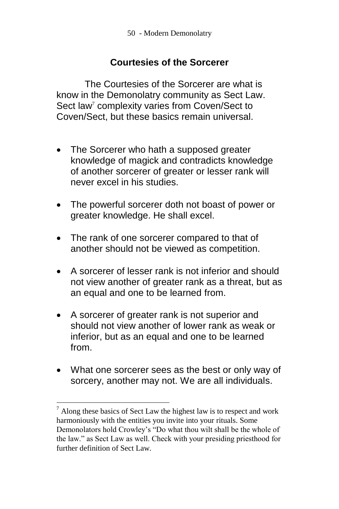### **Courtesies of the Sorcerer**

The Courtesies of the Sorcerer are what is know in the Demonolatry community as Sect Law. Sect law<sup>7</sup> complexity varies from Coven/Sect to Coven/Sect, but these basics remain universal.

- The Sorcerer who hath a supposed greater knowledge of magick and contradicts knowledge of another sorcerer of greater or lesser rank will never excel in his studies.
- The powerful sorcerer doth not boast of power or greater knowledge. He shall excel.
- The rank of one sorcerer compared to that of another should not be viewed as competition.
- A sorcerer of lesser rank is not inferior and should not view another of greater rank as a threat, but as an equal and one to be learned from.
- A sorcerer of greater rank is not superior and should not view another of lower rank as weak or inferior, but as an equal and one to be learned from.
- What one sorcerer sees as the best or only way of sorcery, another may not. We are all individuals.

 $\overline{a}$ 

 $7$  Along these basics of Sect Law the highest law is to respect and work harmoniously with the entities you invite into your rituals. Some Demonolators hold Crowley's "Do what thou wilt shall be the whole of the law." as Sect Law as well. Check with your presiding priesthood for further definition of Sect Law.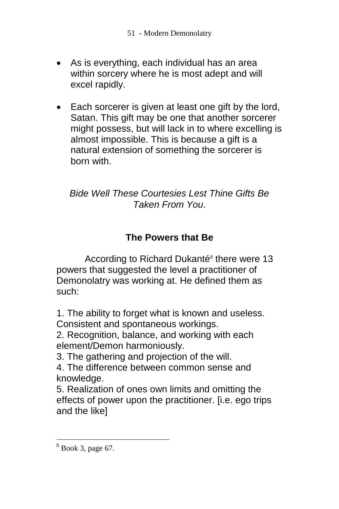- As is everything, each individual has an area within sorcery where he is most adept and will excel rapidly.
- Each sorcerer is given at least one gift by the lord, Satan. This gift may be one that another sorcerer might possess, but will lack in to where excelling is almost impossible. This is because a gift is a natural extension of something the sorcerer is born with.

## *Bide Well These Courtesies Lest Thine Gifts Be Taken From You*.

# **The Powers that Be**

According to Richard Dukanté<sup>8</sup> there were 13 powers that suggested the level a practitioner of Demonolatry was working at. He defined them as such:

1. The ability to forget what is known and useless. Consistent and spontaneous workings.

2. Recognition, balance, and working with each element/Demon harmoniously.

3. The gathering and projection of the will.

4. The difference between common sense and knowledge.

5. Realization of ones own limits and omitting the effects of power upon the practitioner. [i.e. ego trips and the like]

 $\overline{a}$ 

 $8$  Book 3, page 67.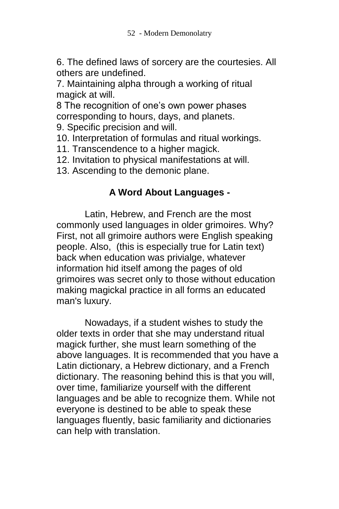6. The defined laws of sorcery are the courtesies. All others are undefined.

7. Maintaining alpha through a working of ritual magick at will.

8 The recognition of one's own power phases corresponding to hours, days, and planets.

9. Specific precision and will.

10. Interpretation of formulas and ritual workings.

11. Transcendence to a higher magick.

12. Invitation to physical manifestations at will.

13. Ascending to the demonic plane.

# **A Word About Languages -**

Latin, Hebrew, and French are the most commonly used languages in older grimoires. Why? First, not all grimoire authors were English speaking people. Also, (this is especially true for Latin text) back when education was privialge, whatever information hid itself among the pages of old grimoires was secret only to those without education making magickal practice in all forms an educated man's luxury.

Nowadays, if a student wishes to study the older texts in order that she may understand ritual magick further, she must learn something of the above languages. It is recommended that you have a Latin dictionary, a Hebrew dictionary, and a French dictionary. The reasoning behind this is that you will, over time, familiarize yourself with the different languages and be able to recognize them. While not everyone is destined to be able to speak these languages fluently, basic familiarity and dictionaries can help with translation.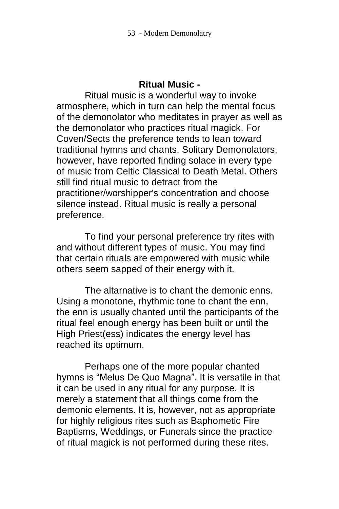#### **Ritual Music -**

Ritual music is a wonderful way to invoke atmosphere, which in turn can help the mental focus of the demonolator who meditates in prayer as well as the demonolator who practices ritual magick. For Coven/Sects the preference tends to lean toward traditional hymns and chants. Solitary Demonolators, however, have reported finding solace in every type of music from Celtic Classical to Death Metal. Others still find ritual music to detract from the practitioner/worshipper's concentration and choose silence instead. Ritual music is really a personal preference.

To find your personal preference try rites with and without different types of music. You may find that certain rituals are empowered with music while others seem sapped of their energy with it.

The altarnative is to chant the demonic enns. Using a monotone, rhythmic tone to chant the enn, the enn is usually chanted until the participants of the ritual feel enough energy has been built or until the High Priest(ess) indicates the energy level has reached its optimum.

Perhaps one of the more popular chanted hymns is "Melus De Quo Magna". It is versatile in that it can be used in any ritual for any purpose. It is merely a statement that all things come from the demonic elements. It is, however, not as appropriate for highly religious rites such as Baphometic Fire Baptisms, Weddings, or Funerals since the practice of ritual magick is not performed during these rites.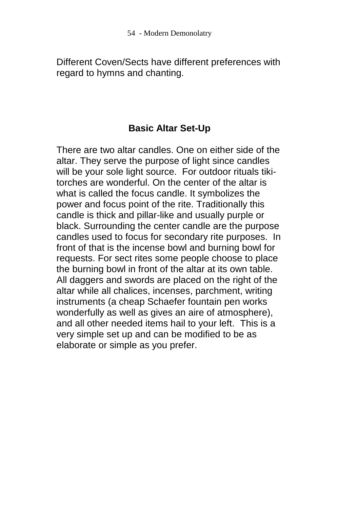Different Coven/Sects have different preferences with regard to hymns and chanting.

# **Basic Altar Set-Up**

There are two altar candles. One on either side of the altar. They serve the purpose of light since candles will be your sole light source. For outdoor rituals tikitorches are wonderful. On the center of the altar is what is called the focus candle. It symbolizes the power and focus point of the rite. Traditionally this candle is thick and pillar-like and usually purple or black. Surrounding the center candle are the purpose candles used to focus for secondary rite purposes. In front of that is the incense bowl and burning bowl for requests. For sect rites some people choose to place the burning bowl in front of the altar at its own table. All daggers and swords are placed on the right of the altar while all chalices, incenses, parchment, writing instruments (a cheap Schaefer fountain pen works wonderfully as well as gives an aire of atmosphere), and all other needed items hail to your left. This is a very simple set up and can be modified to be as elaborate or simple as you prefer.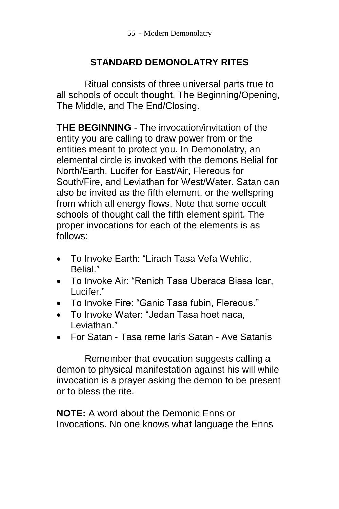# **STANDARD DEMONOLATRY RITES**

Ritual consists of three universal parts true to all schools of occult thought. The Beginning/Opening, The Middle, and The End/Closing.

**THE BEGINNING** - The invocation/invitation of the entity you are calling to draw power from or the entities meant to protect you. In Demonolatry, an elemental circle is invoked with the demons Belial for North/Earth, Lucifer for East/Air, Flereous for South/Fire, and Leviathan for West/Water. Satan can also be invited as the fifth element, or the wellspring from which all energy flows. Note that some occult schools of thought call the fifth element spirit. The proper invocations for each of the elements is as follows:

- To Invoke Earth: "Lirach Tasa Vefa Wehlic, Belial<sup>"</sup>
- To Invoke Air: "Renich Tasa Uberaca Biasa Icar, Lucifer."
- To Invoke Fire: "Ganic Tasa fubin, Flereous."
- To Invoke Water: "Jedan Tasa hoet naca, Leviathan."
- For Satan Tasa reme laris Satan Ave Satanis

Remember that evocation suggests calling a demon to physical manifestation against his will while invocation is a prayer asking the demon to be present or to bless the rite.

**NOTE:** A word about the Demonic Enns or Invocations. No one knows what language the Enns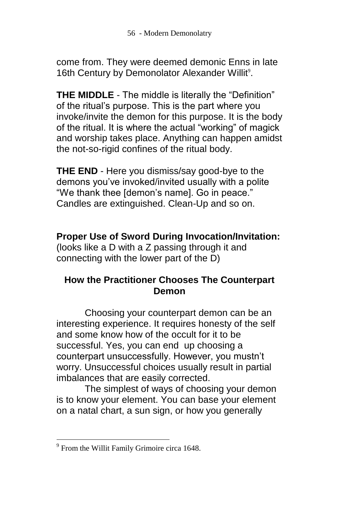come from. They were deemed demonic Enns in late 16th Century by Demonolator Alexander Willit<sup>9</sup>.

**THE MIDDLE** - The middle is literally the "Definition" of the ritual's purpose. This is the part where you invoke/invite the demon for this purpose. It is the body of the ritual. It is where the actual "working" of magick and worship takes place. Anything can happen amidst the not-so-rigid confines of the ritual body.

**THE END** - Here you dismiss/say good-bye to the demons you've invoked/invited usually with a polite "We thank thee [demon's name]. Go in peace." Candles are extinguished. Clean-Up and so on.

**Proper Use of Sword During Invocation/Invitation:** (looks like a D with a Z passing through it and connecting with the lower part of the D)

## **How the Practitioner Chooses The Counterpart Demon**

Choosing your counterpart demon can be an interesting experience. It requires honesty of the self and some know how of the occult for it to be successful. Yes, you can end up choosing a counterpart unsuccessfully. However, you mustn't worry. Unsuccessful choices usually result in partial imbalances that are easily corrected.

The simplest of ways of choosing your demon is to know your element. You can base your element on a natal chart, a sun sign, or how you generally

 $\overline{a}$ 

<sup>&</sup>lt;sup>9</sup> From the Willit Family Grimoire circa 1648.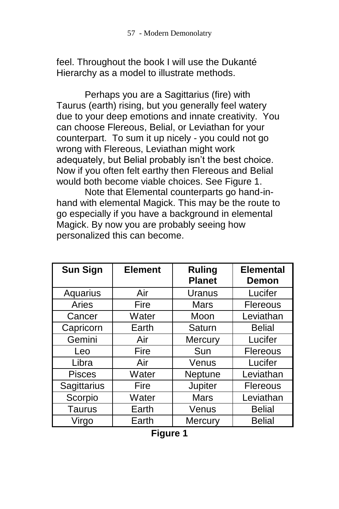feel. Throughout the book I will use the Dukanté Hierarchy as a model to illustrate methods.

Perhaps you are a Sagittarius (fire) with Taurus (earth) rising, but you generally feel watery due to your deep emotions and innate creativity. You can choose Flereous, Belial, or Leviathan for your counterpart. To sum it up nicely - you could not go wrong with Flereous, Leviathan might work adequately, but Belial probably isn't the best choice. Now if you often felt earthy then Flereous and Belial would both become viable choices. See Figure 1.

Note that Elemental counterparts go hand-inhand with elemental Magick. This may be the route to go especially if you have a background in elemental Magick. By now you are probably seeing how personalized this can become.

| <b>Sun Sign</b> | <b>Element</b> | <b>Ruling</b><br><b>Planet</b> | <b>Elemental</b><br>Demon |
|-----------------|----------------|--------------------------------|---------------------------|
| Aquarius        | Air            | Uranus                         | Lucifer                   |
| Aries           | Fire           | <b>Mars</b>                    | <b>Flereous</b>           |
| Cancer          | Water          | Moon                           | Leviathan                 |
| Capricorn       | Earth          | Saturn                         | <b>Belial</b>             |
| Gemini          | Air            | Mercury                        | Lucifer                   |
| Leo             | Fire           | Sun                            | <b>Flereous</b>           |
| Libra           | Air            | Venus                          | Lucifer                   |
| <b>Pisces</b>   | Water          | Neptune                        | Leviathan                 |
| Sagittarius     | Fire           | Jupiter                        | <b>Flereous</b>           |
| Scorpio         | Water          | <b>Mars</b>                    | Leviathan                 |
| <b>Taurus</b>   | Earth          | Venus                          | <b>Belial</b>             |
| Virgo           | Earth          | Mercury                        | <b>Belial</b>             |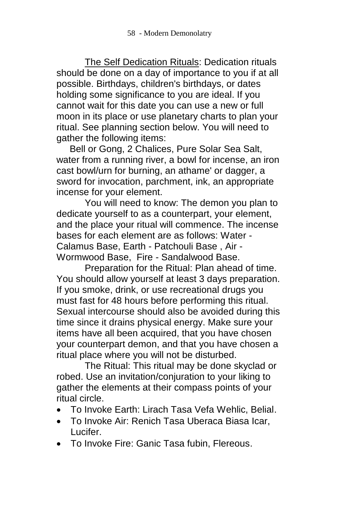The Self Dedication Rituals: Dedication rituals should be done on a day of importance to you if at all possible. Birthdays, children's birthdays, or dates holding some significance to you are ideal. If you cannot wait for this date you can use a new or full moon in its place or use planetary charts to plan your ritual. See planning section below. You will need to gather the following items:

 Bell or Gong, 2 Chalices, Pure Solar Sea Salt, water from a running river, a bowl for incense, an iron cast bowl/urn for burning, an athame' or dagger, a sword for invocation, parchment, ink, an appropriate incense for your element.

You will need to know: The demon you plan to dedicate yourself to as a counterpart, your element, and the place your ritual will commence. The incense bases for each element are as follows: Water - Calamus Base, Earth - Patchouli Base , Air - Wormwood Base, Fire - Sandalwood Base.

Preparation for the Ritual: Plan ahead of time. You should allow yourself at least 3 days preparation. If you smoke, drink, or use recreational drugs you must fast for 48 hours before performing this ritual. Sexual intercourse should also be avoided during this time since it drains physical energy. Make sure your items have all been acquired, that you have chosen your counterpart demon, and that you have chosen a ritual place where you will not be disturbed.

The Ritual: This ritual may be done skyclad or robed. Use an invitation/conjuration to your liking to gather the elements at their compass points of your ritual circle.

- To Invoke Earth: Lirach Tasa Vefa Wehlic, Belial.
- To Invoke Air: Renich Tasa Uberaca Biasa Icar, Lucifer.
- To Invoke Fire: Ganic Tasa fubin, Flereous.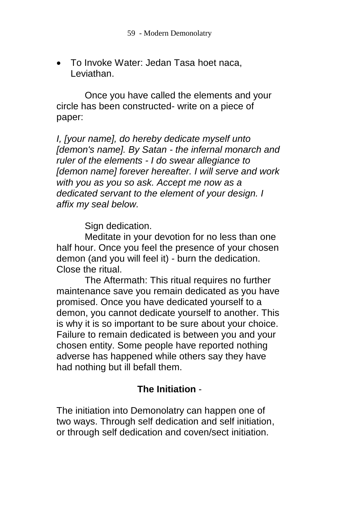To Invoke Water: Jedan Tasa hoet naca, Leviathan.

Once you have called the elements and your circle has been constructed- write on a piece of paper:

*I, [your name], do hereby dedicate myself unto [demon's name]. By Satan - the infernal monarch and ruler of the elements - I do swear allegiance to [demon name] forever hereafter. I will serve and work with you as you so ask. Accept me now as a dedicated servant to the element of your design. I affix my seal below.*

Sign dedication.

Meditate in your devotion for no less than one half hour. Once you feel the presence of your chosen demon (and you will feel it) - burn the dedication. Close the ritual.

The Aftermath: This ritual requires no further maintenance save you remain dedicated as you have promised. Once you have dedicated yourself to a demon, you cannot dedicate yourself to another. This is why it is so important to be sure about your choice. Failure to remain dedicated is between you and your chosen entity. Some people have reported nothing adverse has happened while others say they have had nothing but ill befall them.

# **The Initiation** -

The initiation into Demonolatry can happen one of two ways. Through self dedication and self initiation, or through self dedication and coven/sect initiation.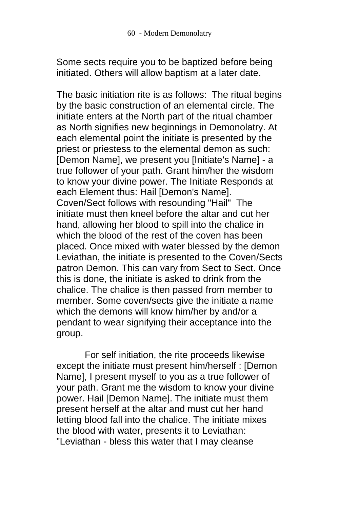Some sects require you to be baptized before being initiated. Others will allow baptism at a later date.

The basic initiation rite is as follows: The ritual begins by the basic construction of an elemental circle. The initiate enters at the North part of the ritual chamber as North signifies new beginnings in Demonolatry. At each elemental point the initiate is presented by the priest or priestess to the elemental demon as such: [Demon Name], we present you [Initiate's Name] - a true follower of your path. Grant him/her the wisdom to know your divine power. The Initiate Responds at each Element thus: Hail [Demon's Name]. Coven/Sect follows with resounding "Hail" The initiate must then kneel before the altar and cut her hand, allowing her blood to spill into the chalice in which the blood of the rest of the coven has been placed. Once mixed with water blessed by the demon Leviathan, the initiate is presented to the Coven/Sects patron Demon. This can vary from Sect to Sect. Once this is done, the initiate is asked to drink from the chalice. The chalice is then passed from member to member. Some coven/sects give the initiate a name which the demons will know him/her by and/or a pendant to wear signifying their acceptance into the group.

For self initiation, the rite proceeds likewise except the initiate must present him/herself : [Demon Name], I present myself to you as a true follower of your path. Grant me the wisdom to know your divine power. Hail [Demon Name]. The initiate must them present herself at the altar and must cut her hand letting blood fall into the chalice. The initiate mixes the blood with water, presents it to Leviathan: "Leviathan - bless this water that I may cleanse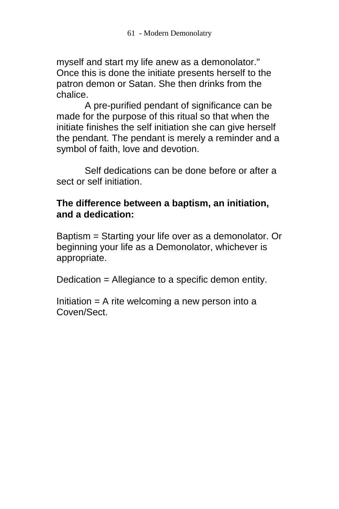myself and start my life anew as a demonolator." Once this is done the initiate presents herself to the patron demon or Satan. She then drinks from the chalice.

A pre-purified pendant of significance can be made for the purpose of this ritual so that when the initiate finishes the self initiation she can give herself the pendant. The pendant is merely a reminder and a symbol of faith, love and devotion.

Self dedications can be done before or after a sect or self initiation.

### **The difference between a baptism, an initiation, and a dedication:**

Baptism = Starting your life over as a demonolator. Or beginning your life as a Demonolator, whichever is appropriate.

Dedication = Allegiance to a specific demon entity.

Initiation  $=$  A rite welcoming a new person into a Coven/Sect.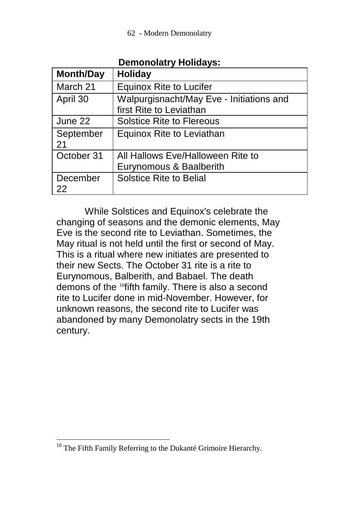| <b>Month/Day</b> | <b>Holiday</b>                                                      |
|------------------|---------------------------------------------------------------------|
| March 21         | <b>Equinox Rite to Lucifer</b>                                      |
| April 30         | Walpurgisnacht/May Eve - Initiations and<br>first Rite to Leviathan |
| June 22          | <b>Solstice Rite to Flereous</b>                                    |
| September<br>21  | Equinox Rite to Leviathan                                           |
| October 31       | All Hallows Eve/Halloween Rite to<br>Eurynomous & Baalberith        |
| December<br>22   | <b>Solstice Rite to Belial</b>                                      |

**Demonolatry Holidays:**

While Solstices and Equinox's celebrate the changing of seasons and the demonic elements, May Eve is the second rite to Leviathan. Sometimes, the May ritual is not held until the first or second of May. This is a ritual where new initiates are presented to their new Sects. The October 31 rite is a rite to Eurynomous, Balberith, and Babael. The death demons of the <sup>10</sup>fifth family. There is also a second rite to Lucifer done in mid-November. However, for unknown reasons, the second rite to Lucifer was abandoned by many Demonolatry sects in the 19th century.

 $\overline{a}$ 

 $10$  The Fifth Family Referring to the Dukanté Grimoire Hierarchy.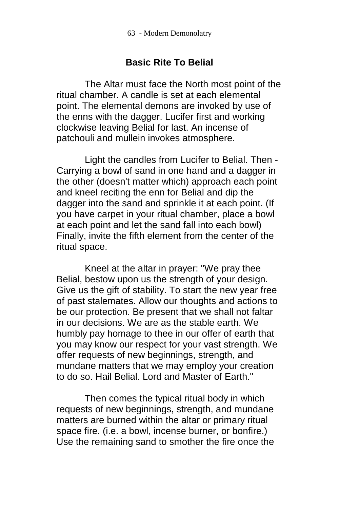### **Basic Rite To Belial**

The Altar must face the North most point of the ritual chamber. A candle is set at each elemental point. The elemental demons are invoked by use of the enns with the dagger. Lucifer first and working clockwise leaving Belial for last. An incense of patchouli and mullein invokes atmosphere.

Light the candles from Lucifer to Belial. Then - Carrying a bowl of sand in one hand and a dagger in the other (doesn't matter which) approach each point and kneel reciting the enn for Belial and dip the dagger into the sand and sprinkle it at each point. (If you have carpet in your ritual chamber, place a bowl at each point and let the sand fall into each bowl) Finally, invite the fifth element from the center of the ritual space.

Kneel at the altar in prayer: "We pray thee Belial, bestow upon us the strength of your design. Give us the gift of stability. To start the new year free of past stalemates. Allow our thoughts and actions to be our protection. Be present that we shall not faltar in our decisions. We are as the stable earth. We humbly pay homage to thee in our offer of earth that you may know our respect for your vast strength. We offer requests of new beginnings, strength, and mundane matters that we may employ your creation to do so. Hail Belial. Lord and Master of Earth."

Then comes the typical ritual body in which requests of new beginnings, strength, and mundane matters are burned within the altar or primary ritual space fire. (i.e. a bowl, incense burner, or bonfire.) Use the remaining sand to smother the fire once the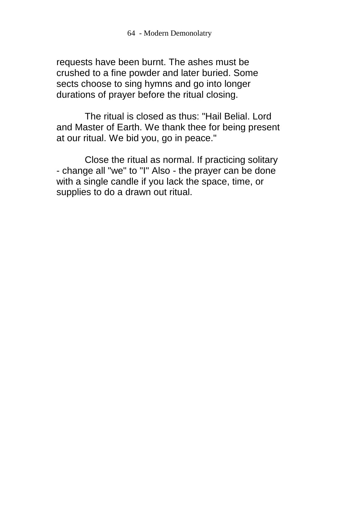requests have been burnt. The ashes must be crushed to a fine powder and later buried. Some sects choose to sing hymns and go into longer durations of prayer before the ritual closing.

The ritual is closed as thus: "Hail Belial. Lord and Master of Earth. We thank thee for being present at our ritual. We bid you, go in peace."

Close the ritual as normal. If practicing solitary - change all "we" to "I" Also - the prayer can be done with a single candle if you lack the space, time, or supplies to do a drawn out ritual.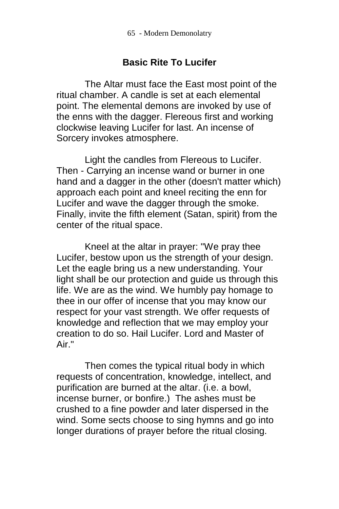### **Basic Rite To Lucifer**

The Altar must face the East most point of the ritual chamber. A candle is set at each elemental point. The elemental demons are invoked by use of the enns with the dagger. Flereous first and working clockwise leaving Lucifer for last. An incense of Sorcery invokes atmosphere.

Light the candles from Flereous to Lucifer. Then - Carrying an incense wand or burner in one hand and a dagger in the other (doesn't matter which) approach each point and kneel reciting the enn for Lucifer and wave the dagger through the smoke. Finally, invite the fifth element (Satan, spirit) from the center of the ritual space.

Kneel at the altar in prayer: "We pray thee Lucifer, bestow upon us the strength of your design. Let the eagle bring us a new understanding. Your light shall be our protection and guide us through this life. We are as the wind. We humbly pay homage to thee in our offer of incense that you may know our respect for your vast strength. We offer requests of knowledge and reflection that we may employ your creation to do so. Hail Lucifer. Lord and Master of Air."

Then comes the typical ritual body in which requests of concentration, knowledge, intellect, and purification are burned at the altar. (i.e. a bowl, incense burner, or bonfire.) The ashes must be crushed to a fine powder and later dispersed in the wind. Some sects choose to sing hymns and go into longer durations of prayer before the ritual closing.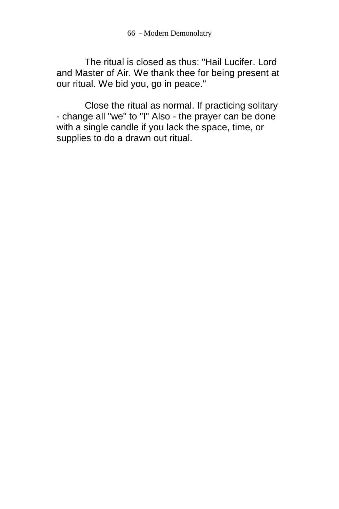66 - Modern Demonolatry

The ritual is closed as thus: "Hail Lucifer. Lord and Master of Air. We thank thee for being present at our ritual. We bid you, go in peace."

Close the ritual as normal. If practicing solitary - change all "we" to "I" Also - the prayer can be done with a single candle if you lack the space, time, or supplies to do a drawn out ritual.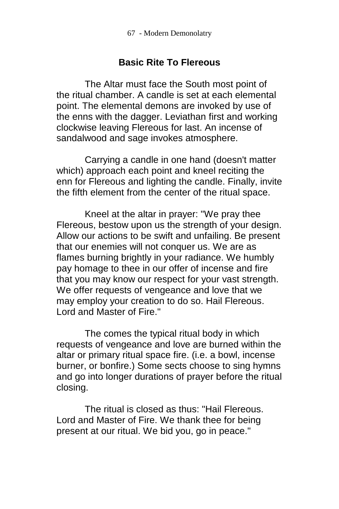#### **Basic Rite To Flereous**

The Altar must face the South most point of the ritual chamber. A candle is set at each elemental point. The elemental demons are invoked by use of the enns with the dagger. Leviathan first and working clockwise leaving Flereous for last. An incense of sandalwood and sage invokes atmosphere.

Carrying a candle in one hand (doesn't matter which) approach each point and kneel reciting the enn for Flereous and lighting the candle. Finally, invite the fifth element from the center of the ritual space.

Kneel at the altar in prayer: "We pray thee Flereous, bestow upon us the strength of your design. Allow our actions to be swift and unfailing. Be present that our enemies will not conquer us. We are as flames burning brightly in your radiance. We humbly pay homage to thee in our offer of incense and fire that you may know our respect for your vast strength. We offer requests of vengeance and love that we may employ your creation to do so. Hail Flereous. Lord and Master of Fire."

The comes the typical ritual body in which requests of vengeance and love are burned within the altar or primary ritual space fire. (i.e. a bowl, incense burner, or bonfire.) Some sects choose to sing hymns and go into longer durations of prayer before the ritual closing.

The ritual is closed as thus: "Hail Flereous. Lord and Master of Fire. We thank thee for being present at our ritual. We bid you, go in peace."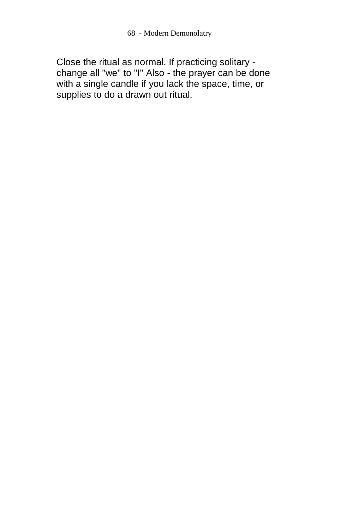Close the ritual as normal. If practicing solitary change all "we" to "I" Also - the prayer can be done with a single candle if you lack the space, time, or supplies to do a drawn out ritual.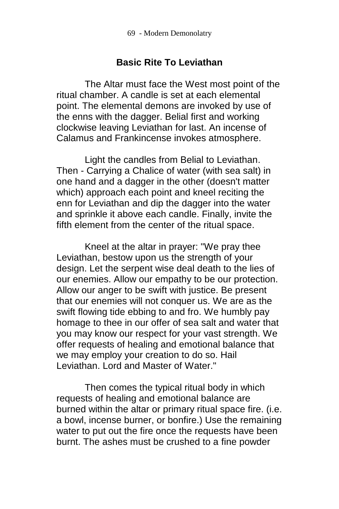### **Basic Rite To Leviathan**

The Altar must face the West most point of the ritual chamber. A candle is set at each elemental point. The elemental demons are invoked by use of the enns with the dagger. Belial first and working clockwise leaving Leviathan for last. An incense of Calamus and Frankincense invokes atmosphere.

Light the candles from Belial to Leviathan. Then - Carrying a Chalice of water (with sea salt) in one hand and a dagger in the other (doesn't matter which) approach each point and kneel reciting the enn for Leviathan and dip the dagger into the water and sprinkle it above each candle. Finally, invite the fifth element from the center of the ritual space.

Kneel at the altar in prayer: "We pray thee Leviathan, bestow upon us the strength of your design. Let the serpent wise deal death to the lies of our enemies. Allow our empathy to be our protection. Allow our anger to be swift with justice. Be present that our enemies will not conquer us. We are as the swift flowing tide ebbing to and fro. We humbly pay homage to thee in our offer of sea salt and water that you may know our respect for your vast strength. We offer requests of healing and emotional balance that we may employ your creation to do so. Hail Leviathan. Lord and Master of Water."

Then comes the typical ritual body in which requests of healing and emotional balance are burned within the altar or primary ritual space fire. (i.e. a bowl, incense burner, or bonfire.) Use the remaining water to put out the fire once the requests have been burnt. The ashes must be crushed to a fine powder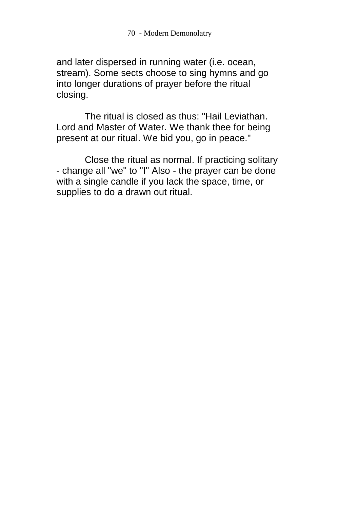and later dispersed in running water (i.e. ocean, stream). Some sects choose to sing hymns and go into longer durations of prayer before the ritual closing.

The ritual is closed as thus: "Hail Leviathan. Lord and Master of Water. We thank thee for being present at our ritual. We bid you, go in peace."

Close the ritual as normal. If practicing solitary - change all "we" to "I" Also - the prayer can be done with a single candle if you lack the space, time, or supplies to do a drawn out ritual.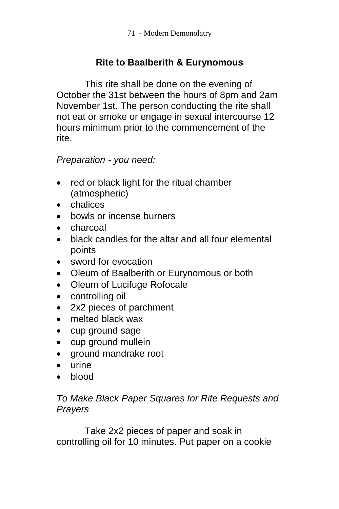# **Rite to Baalberith & Eurynomous**

This rite shall be done on the evening of October the 31st between the hours of 8pm and 2am November 1st. The person conducting the rite shall not eat or smoke or engage in sexual intercourse 12 hours minimum prior to the commencement of the rite.

### *Preparation - you need:*

- red or black light for the ritual chamber (atmospheric)
- chalices
- bowls or incense burners
- charcoal
- black candles for the altar and all four elemental points
- sword for evocation
- Oleum of Baalberith or Eurynomous or both
- Oleum of Lucifuge Rofocale
- controlling oil
- 2x2 pieces of parchment
- melted black wax
- cup ground sage
- cup ground mullein
- ground mandrake root
- $\bullet$  urine
- blood

### *To Make Black Paper Squares for Rite Requests and Prayers*

Take 2x2 pieces of paper and soak in controlling oil for 10 minutes. Put paper on a cookie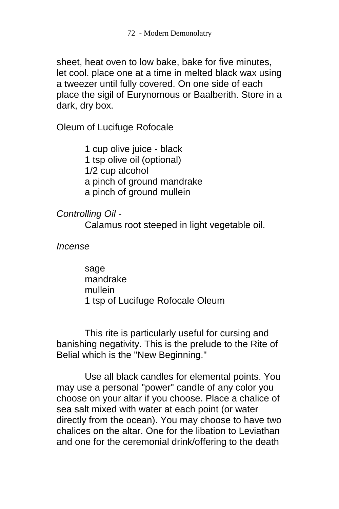sheet, heat oven to low bake, bake for five minutes, let cool. place one at a time in melted black wax using a tweezer until fully covered. On one side of each place the sigil of Eurynomous or Baalberith. Store in a dark, dry box.

Oleum of Lucifuge Rofocale

1 cup olive juice - black 1 tsp olive oil (optional) 1/2 cup alcohol a pinch of ground mandrake a pinch of ground mullein

*Controlling Oil* -

Calamus root steeped in light vegetable oil.

*Incense*

sage mandrake mullein 1 tsp of Lucifuge Rofocale Oleum

This rite is particularly useful for cursing and banishing negativity. This is the prelude to the Rite of Belial which is the "New Beginning."

Use all black candles for elemental points. You may use a personal "power" candle of any color you choose on your altar if you choose. Place a chalice of sea salt mixed with water at each point (or water directly from the ocean). You may choose to have two chalices on the altar. One for the libation to Leviathan and one for the ceremonial drink/offering to the death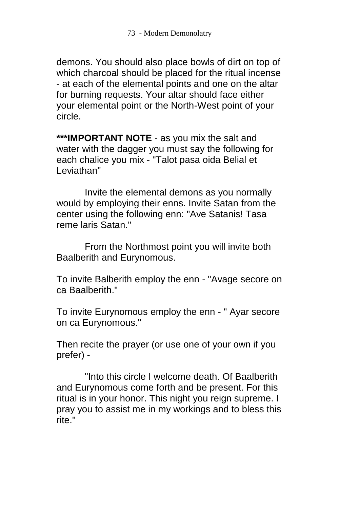demons. You should also place bowls of dirt on top of which charcoal should be placed for the ritual incense - at each of the elemental points and one on the altar for burning requests. Your altar should face either your elemental point or the North-West point of your circle.

**\*\*\*IMPORTANT NOTE** - as you mix the salt and water with the dagger you must say the following for each chalice you mix - "Talot pasa oida Belial et Leviathan"

Invite the elemental demons as you normally would by employing their enns. Invite Satan from the center using the following enn: "Ave Satanis! Tasa reme laris Satan."

From the Northmost point you will invite both Baalberith and Eurynomous.

To invite Balberith employ the enn - "Avage secore on ca Baalberith."

To invite Eurynomous employ the enn - " Ayar secore on ca Eurynomous."

Then recite the prayer (or use one of your own if you prefer) -

"Into this circle I welcome death. Of Baalberith and Eurynomous come forth and be present. For this ritual is in your honor. This night you reign supreme. I pray you to assist me in my workings and to bless this rite."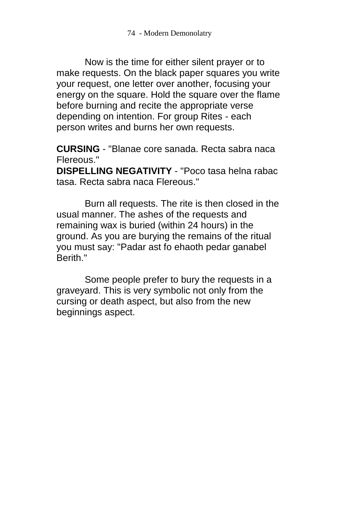Now is the time for either silent prayer or to make requests. On the black paper squares you write your request, one letter over another, focusing your energy on the square. Hold the square over the flame before burning and recite the appropriate verse depending on intention. For group Rites - each person writes and burns her own requests.

**CURSING** - "Blanae core sanada. Recta sabra naca Flereous."

**DISPELLING NEGATIVITY** - "Poco tasa helna rabac tasa. Recta sabra naca Flereous."

Burn all requests. The rite is then closed in the usual manner. The ashes of the requests and remaining wax is buried (within 24 hours) in the ground. As you are burying the remains of the ritual you must say: "Padar ast fo ehaoth pedar ganabel Berith."

Some people prefer to bury the requests in a graveyard. This is very symbolic not only from the cursing or death aspect, but also from the new beginnings aspect.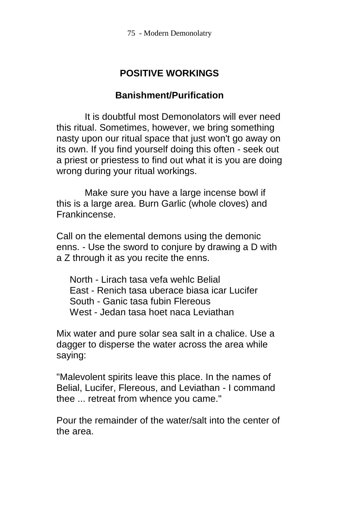# **POSITIVE WORKINGS**

### **Banishment/Purification**

It is doubtful most Demonolators will ever need this ritual. Sometimes, however, we bring something nasty upon our ritual space that just won't go away on its own. If you find yourself doing this often - seek out a priest or priestess to find out what it is you are doing wrong during your ritual workings.

Make sure you have a large incense bowl if this is a large area. Burn Garlic (whole cloves) and Frankincense.

Call on the elemental demons using the demonic enns. - Use the sword to conjure by drawing a D with a Z through it as you recite the enns.

 North - Lirach tasa vefa wehlc Belial East - Renich tasa uberace biasa icar Lucifer South - Ganic tasa fubin Flereous West - Jedan tasa hoet naca Leviathan

Mix water and pure solar sea salt in a chalice. Use a dagger to disperse the water across the area while saying:

"Malevolent spirits leave this place. In the names of Belial, Lucifer, Flereous, and Leviathan - I command thee ... retreat from whence you came."

Pour the remainder of the water/salt into the center of the area.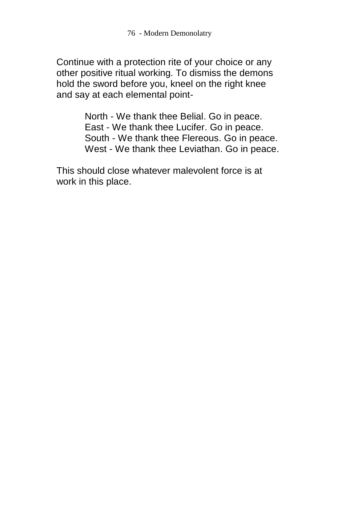Continue with a protection rite of your choice or any other positive ritual working. To dismiss the demons hold the sword before you, kneel on the right knee and say at each elemental point-

> North - We thank thee Belial. Go in peace. East - We thank thee Lucifer. Go in peace. South - We thank thee Flereous. Go in peace. West - We thank thee Leviathan. Go in peace.

This should close whatever malevolent force is at work in this place.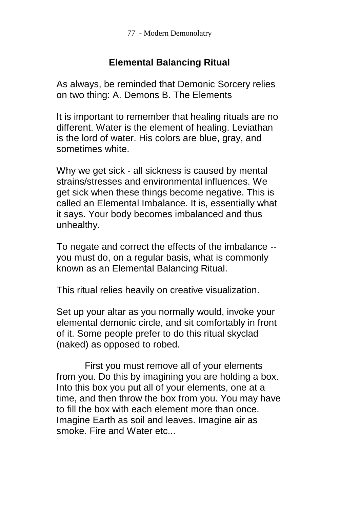77 - Modern Demonolatry

### **Elemental Balancing Ritual**

As always, be reminded that Demonic Sorcery relies on two thing: A. Demons B. The Elements

It is important to remember that healing rituals are no different. Water is the element of healing. Leviathan is the lord of water. His colors are blue, gray, and sometimes white.

Why we get sick - all sickness is caused by mental strains/stresses and environmental influences. We get sick when these things become negative. This is called an Elemental Imbalance. It is, essentially what it says. Your body becomes imbalanced and thus unhealthy.

To negate and correct the effects of the imbalance - you must do, on a regular basis, what is commonly known as an Elemental Balancing Ritual.

This ritual relies heavily on creative visualization.

Set up your altar as you normally would, invoke your elemental demonic circle, and sit comfortably in front of it. Some people prefer to do this ritual skyclad (naked) as opposed to robed.

First you must remove all of your elements from you. Do this by imagining you are holding a box. Into this box you put all of your elements, one at a time, and then throw the box from you. You may have to fill the box with each element more than once. Imagine Earth as soil and leaves. Imagine air as smoke. Fire and Water etc...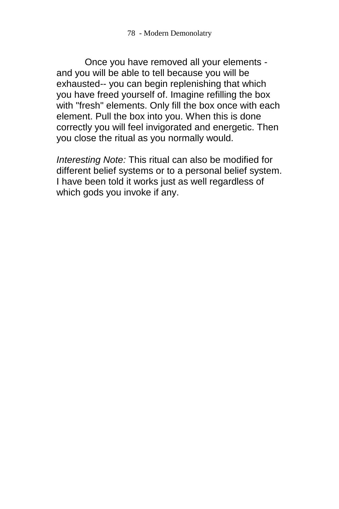Once you have removed all your elements and you will be able to tell because you will be exhausted-- you can begin replenishing that which you have freed yourself of. Imagine refilling the box with "fresh" elements. Only fill the box once with each element. Pull the box into you. When this is done correctly you will feel invigorated and energetic. Then you close the ritual as you normally would.

*Interesting Note:* This ritual can also be modified for different belief systems or to a personal belief system. I have been told it works just as well regardless of which gods you invoke if any.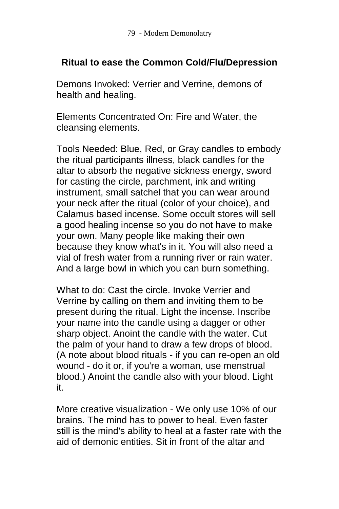## **Ritual to ease the Common Cold/Flu/Depression**

Demons Invoked: Verrier and Verrine, demons of health and healing.

Elements Concentrated On: Fire and Water, the cleansing elements.

Tools Needed: Blue, Red, or Gray candles to embody the ritual participants illness, black candles for the altar to absorb the negative sickness energy, sword for casting the circle, parchment, ink and writing instrument, small satchel that you can wear around your neck after the ritual (color of your choice), and Calamus based incense. Some occult stores will sell a good healing incense so you do not have to make your own. Many people like making their own because they know what's in it. You will also need a vial of fresh water from a running river or rain water. And a large bowl in which you can burn something.

What to do: Cast the circle. Invoke Verrier and Verrine by calling on them and inviting them to be present during the ritual. Light the incense. Inscribe your name into the candle using a dagger or other sharp object. Anoint the candle with the water. Cut the palm of your hand to draw a few drops of blood. (A note about blood rituals - if you can re-open an old wound - do it or, if you're a woman, use menstrual blood.) Anoint the candle also with your blood. Light it.

More creative visualization - We only use 10% of our brains. The mind has to power to heal. Even faster still is the mind's ability to heal at a faster rate with the aid of demonic entities. Sit in front of the altar and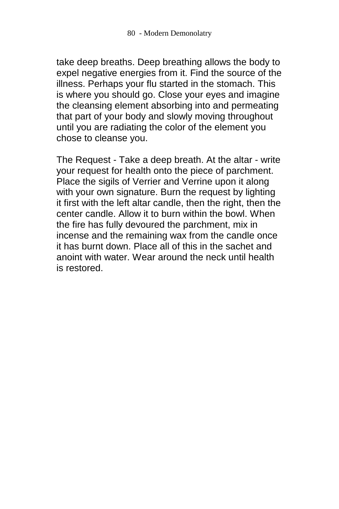take deep breaths. Deep breathing allows the body to expel negative energies from it. Find the source of the illness. Perhaps your flu started in the stomach. This is where you should go. Close your eyes and imagine the cleansing element absorbing into and permeating that part of your body and slowly moving throughout until you are radiating the color of the element you chose to cleanse you.

The Request - Take a deep breath. At the altar - write your request for health onto the piece of parchment. Place the sigils of Verrier and Verrine upon it along with your own signature. Burn the request by lighting it first with the left altar candle, then the right, then the center candle. Allow it to burn within the bowl. When the fire has fully devoured the parchment, mix in incense and the remaining wax from the candle once it has burnt down. Place all of this in the sachet and anoint with water. Wear around the neck until health is restored.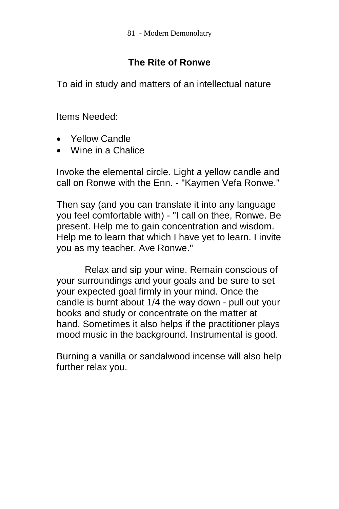# **The Rite of Ronwe**

To aid in study and matters of an intellectual nature

Items Needed:

- Yellow Candle
- Wine in a Chalice

Invoke the elemental circle. Light a yellow candle and call on Ronwe with the Enn. - "Kaymen Vefa Ronwe."

Then say (and you can translate it into any language you feel comfortable with) - "I call on thee, Ronwe. Be present. Help me to gain concentration and wisdom. Help me to learn that which I have yet to learn. I invite you as my teacher. Ave Ronwe."

Relax and sip your wine. Remain conscious of your surroundings and your goals and be sure to set your expected goal firmly in your mind. Once the candle is burnt about 1/4 the way down - pull out your books and study or concentrate on the matter at hand. Sometimes it also helps if the practitioner plays mood music in the background. Instrumental is good.

Burning a vanilla or sandalwood incense will also help further relax you.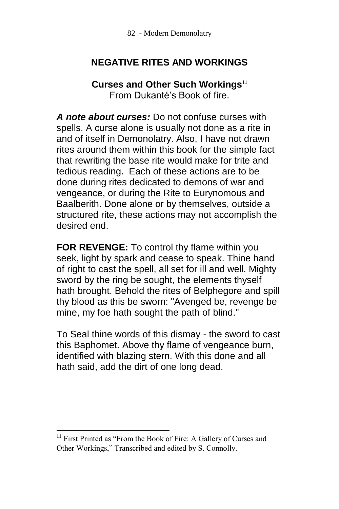### **NEGATIVE RITES AND WORKINGS**

### **Curses and Other Such Workings**<sup>11</sup> From Dukanté's Book of fire.

*A note about curses:* Do not confuse curses with spells. A curse alone is usually not done as a rite in and of itself in Demonolatry. Also, I have not drawn rites around them within this book for the simple fact that rewriting the base rite would make for trite and tedious reading. Each of these actions are to be done during rites dedicated to demons of war and vengeance, or during the Rite to Eurynomous and Baalberith. Done alone or by themselves, outside a structured rite, these actions may not accomplish the desired end.

**FOR REVENGE:** To control thy flame within you seek, light by spark and cease to speak. Thine hand of right to cast the spell, all set for ill and well. Mighty sword by the ring be sought, the elements thyself hath brought. Behold the rites of Belphegore and spill thy blood as this be sworn: "Avenged be, revenge be mine, my foe hath sought the path of blind."

To Seal thine words of this dismay - the sword to cast this Baphomet. Above thy flame of vengeance burn, identified with blazing stern. With this done and all hath said, add the dirt of one long dead.

 $\overline{a}$ 

<sup>&</sup>lt;sup>11</sup> First Printed as "From the Book of Fire: A Gallery of Curses and Other Workings," Transcribed and edited by S. Connolly.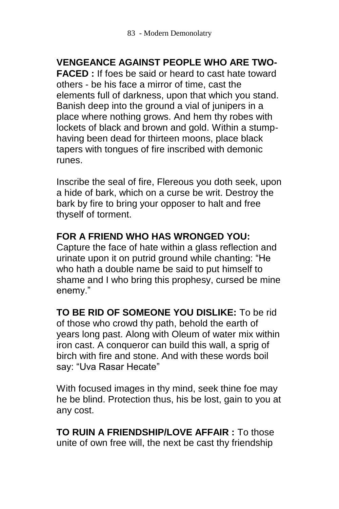### **VENGEANCE AGAINST PEOPLE WHO ARE TWO-**

**FACED :** If foes be said or heard to cast hate toward others - be his face a mirror of time, cast the elements full of darkness, upon that which you stand. Banish deep into the ground a vial of junipers in a place where nothing grows. And hem thy robes with lockets of black and brown and gold. Within a stumphaving been dead for thirteen moons, place black tapers with tongues of fire inscribed with demonic runes.

Inscribe the seal of fire, Flereous you doth seek, upon a hide of bark, which on a curse be writ. Destroy the bark by fire to bring your opposer to halt and free thyself of torment.

### **FOR A FRIEND WHO HAS WRONGED YOU:**

Capture the face of hate within a glass reflection and urinate upon it on putrid ground while chanting: "He who hath a double name be said to put himself to shame and I who bring this prophesy, cursed be mine enemy."

**TO BE RID OF SOMEONE YOU DISLIKE:** To be rid of those who crowd thy path, behold the earth of years long past. Along with Oleum of water mix within iron cast. A conqueror can build this wall, a sprig of birch with fire and stone. And with these words boil say: "Uva Rasar Hecate"

With focused images in thy mind, seek thine foe may he be blind. Protection thus, his be lost, gain to you at any cost.

**TO RUIN A FRIENDSHIP/LOVE AFFAIR :** To those unite of own free will, the next be cast thy friendship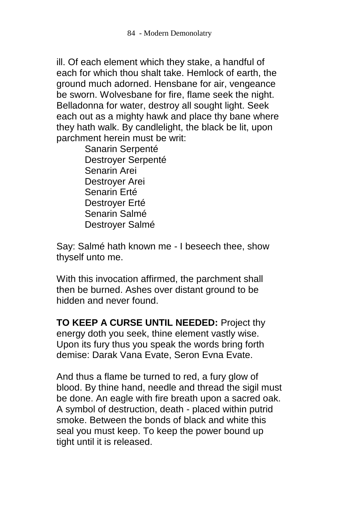ill. Of each element which they stake, a handful of each for which thou shalt take. Hemlock of earth, the ground much adorned. Hensbane for air, vengeance be sworn. Wolvesbane for fire, flame seek the night. Belladonna for water, destroy all sought light. Seek each out as a mighty hawk and place thy bane where they hath walk. By candlelight, the black be lit, upon parchment herein must be writ:

Sanarin Serpenté Destroyer Serpenté Senarin Arei Destroyer Arei Senarin Erté Destroyer Erté Senarin Salmé Destroyer Salmé

Say: Salmé hath known me - I beseech thee, show thyself unto me.

With this invocation affirmed, the parchment shall then be burned. Ashes over distant ground to be hidden and never found.

**TO KEEP A CURSE UNTIL NEEDED:** Project thy energy doth you seek, thine element vastly wise. Upon its fury thus you speak the words bring forth demise: Darak Vana Evate, Seron Evna Evate.

And thus a flame be turned to red, a fury glow of blood. By thine hand, needle and thread the sigil must be done. An eagle with fire breath upon a sacred oak. A symbol of destruction, death - placed within putrid smoke. Between the bonds of black and white this seal you must keep. To keep the power bound up tight until it is released.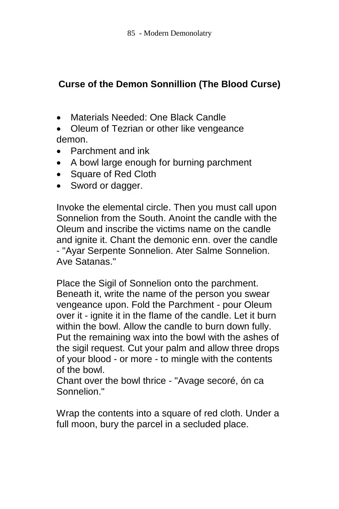# **Curse of the Demon Sonnillion (The Blood Curse)**

- Materials Needed: One Black Candle
- Oleum of Tezrian or other like vengeance demon.
- Parchment and ink
- A bowl large enough for burning parchment
- Square of Red Cloth
- Sword or dagger.

Invoke the elemental circle. Then you must call upon Sonnelion from the South. Anoint the candle with the Oleum and inscribe the victims name on the candle and ignite it. Chant the demonic enn. over the candle - "Ayar Serpente Sonnelion. Ater Salme Sonnelion. Ave Satanas."

Place the Sigil of Sonnelion onto the parchment. Beneath it, write the name of the person you swear vengeance upon. Fold the Parchment - pour Oleum over it - ignite it in the flame of the candle. Let it burn within the bowl. Allow the candle to burn down fully. Put the remaining wax into the bowl with the ashes of the sigil request. Cut your palm and allow three drops of your blood - or more - to mingle with the contents of the bowl.

Chant over the bowl thrice - "Avage secoré, ón ca Sonnelion."

Wrap the contents into a square of red cloth. Under a full moon, bury the parcel in a secluded place.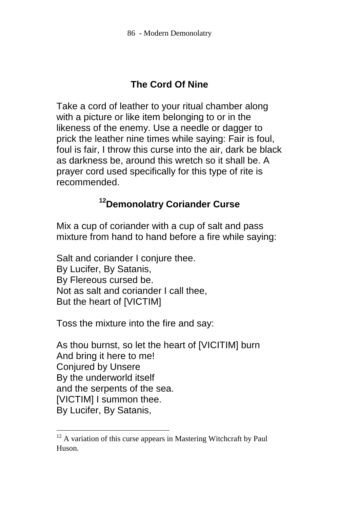# **The Cord Of Nine**

Take a cord of leather to your ritual chamber along with a picture or like item belonging to or in the likeness of the enemy. Use a needle or dagger to prick the leather nine times while saying: Fair is foul, foul is fair, I throw this curse into the air, dark be black as darkness be, around this wretch so it shall be. A prayer cord used specifically for this type of rite is recommended.

# **<sup>12</sup>Demonolatry Coriander Curse**

Mix a cup of coriander with a cup of salt and pass mixture from hand to hand before a fire while saying:

Salt and coriander I conjure thee. By Lucifer, By Satanis, By Flereous cursed be. Not as salt and coriander I call thee, But the heart of [VICTIM]

Toss the mixture into the fire and say:

 $\overline{a}$ 

As thou burnst, so let the heart of [VICITIM] burn And bring it here to me! Conjured by Unsere By the underworld itself and the serpents of the sea. [VICTIM] I summon thee. By Lucifer, By Satanis,

 $12$  A variation of this curse appears in Mastering Witchcraft by Paul Huson.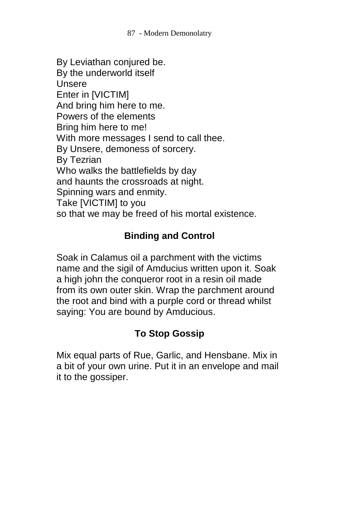By Leviathan conjured be. By the underworld itself Unsere Enter in [VICTIM] And bring him here to me. Powers of the elements Bring him here to me! With more messages I send to call thee. By Unsere, demoness of sorcery. By Tezrian Who walks the battlefields by day and haunts the crossroads at night. Spinning wars and enmity. Take [VICTIM] to you so that we may be freed of his mortal existence.

# **Binding and Control**

Soak in Calamus oil a parchment with the victims name and the sigil of Amducius written upon it. Soak a high john the conqueror root in a resin oil made from its own outer skin. Wrap the parchment around the root and bind with a purple cord or thread whilst saying: You are bound by Amducious.

# **To Stop Gossip**

Mix equal parts of Rue, Garlic, and Hensbane. Mix in a bit of your own urine. Put it in an envelope and mail it to the gossiper.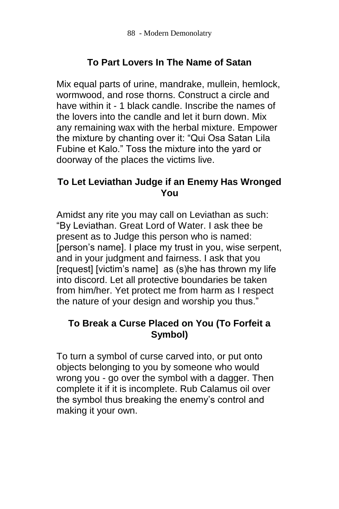# **To Part Lovers In The Name of Satan**

Mix equal parts of urine, mandrake, mullein, hemlock, wormwood, and rose thorns. Construct a circle and have within it - 1 black candle. Inscribe the names of the lovers into the candle and let it burn down. Mix any remaining wax with the herbal mixture. Empower the mixture by chanting over it: "Qui Osa Satan Lila Fubine et Kalo." Toss the mixture into the yard or doorway of the places the victims live.

### **To Let Leviathan Judge if an Enemy Has Wronged You**

Amidst any rite you may call on Leviathan as such: "By Leviathan. Great Lord of Water. I ask thee be present as to Judge this person who is named: [person's name]. I place my trust in you, wise serpent, and in your judgment and fairness. I ask that you [request] [victim's name] as (s)he has thrown my life into discord. Let all protective boundaries be taken from him/her. Yet protect me from harm as I respect the nature of your design and worship you thus."

### **To Break a Curse Placed on You (To Forfeit a Symbol)**

To turn a symbol of curse carved into, or put onto objects belonging to you by someone who would wrong you - go over the symbol with a dagger. Then complete it if it is incomplete. Rub Calamus oil over the symbol thus breaking the enemy's control and making it your own.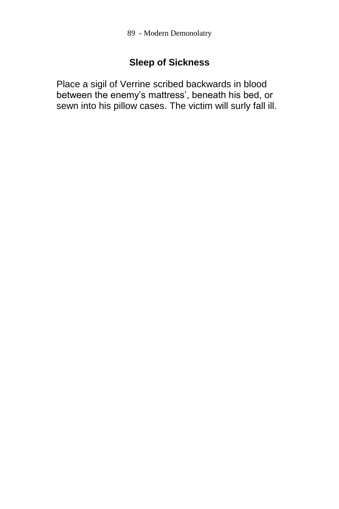### **Sleep of Sickness**

Place a sigil of Verrine scribed backwards in blood between the enemy's mattress', beneath his bed, or sewn into his pillow cases. The victim will surly fall ill.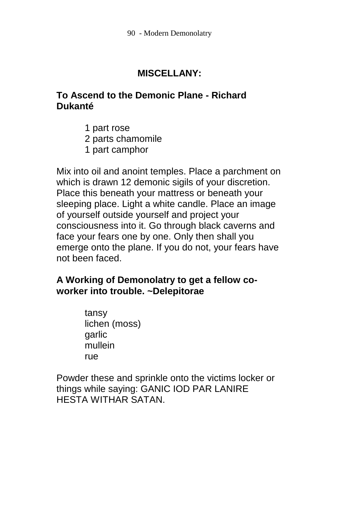### **MISCELLANY:**

### **To Ascend to the Demonic Plane - Richard Dukanté**

- 1 part rose
- 2 parts chamomile
- 1 part camphor

Mix into oil and anoint temples. Place a parchment on which is drawn 12 demonic sigils of your discretion. Place this beneath your mattress or beneath your sleeping place. Light a white candle. Place an image of yourself outside yourself and project your consciousness into it. Go through black caverns and face your fears one by one. Only then shall you emerge onto the plane. If you do not, your fears have not been faced.

### **A Working of Demonolatry to get a fellow coworker into trouble. ~Delepitorae**

tansy lichen (moss) **garlic** mullein rue

Powder these and sprinkle onto the victims locker or things while saying: GANIC IOD PAR LANIRE HESTA WITHAR SATAN.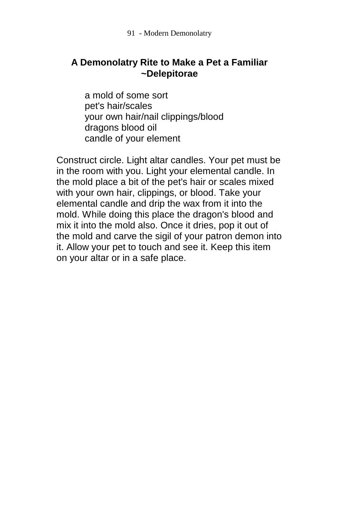### **A Demonolatry Rite to Make a Pet a Familiar ~Delepitorae**

a mold of some sort pet's hair/scales your own hair/nail clippings/blood dragons blood oil candle of your element

Construct circle. Light altar candles. Your pet must be in the room with you. Light your elemental candle. In the mold place a bit of the pet's hair or scales mixed with your own hair, clippings, or blood. Take your elemental candle and drip the wax from it into the mold. While doing this place the dragon's blood and mix it into the mold also. Once it dries, pop it out of the mold and carve the sigil of your patron demon into it. Allow your pet to touch and see it. Keep this item on your altar or in a safe place.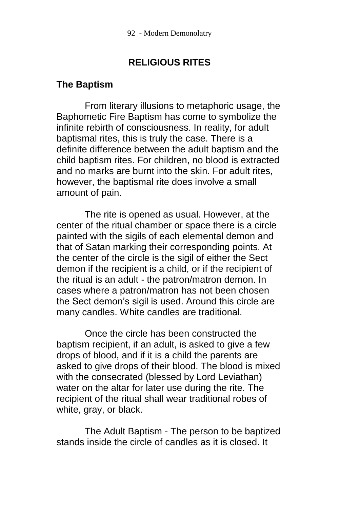### **RELIGIOUS RITES**

### **The Baptism**

From literary illusions to metaphoric usage, the Baphometic Fire Baptism has come to symbolize the infinite rebirth of consciousness. In reality, for adult baptismal rites, this is truly the case. There is a definite difference between the adult baptism and the child baptism rites. For children, no blood is extracted and no marks are burnt into the skin. For adult rites, however, the baptismal rite does involve a small amount of pain.

The rite is opened as usual. However, at the center of the ritual chamber or space there is a circle painted with the sigils of each elemental demon and that of Satan marking their corresponding points. At the center of the circle is the sigil of either the Sect demon if the recipient is a child, or if the recipient of the ritual is an adult - the patron/matron demon. In cases where a patron/matron has not been chosen the Sect demon's sigil is used. Around this circle are many candles. White candles are traditional.

Once the circle has been constructed the baptism recipient, if an adult, is asked to give a few drops of blood, and if it is a child the parents are asked to give drops of their blood. The blood is mixed with the consecrated (blessed by Lord Leviathan) water on the altar for later use during the rite. The recipient of the ritual shall wear traditional robes of white, gray, or black.

The Adult Baptism - The person to be baptized stands inside the circle of candles as it is closed. It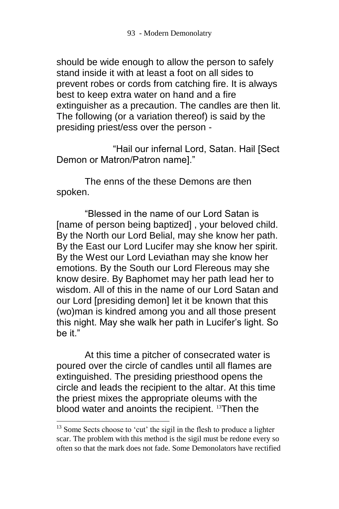should be wide enough to allow the person to safely stand inside it with at least a foot on all sides to prevent robes or cords from catching fire. It is always best to keep extra water on hand and a fire extinguisher as a precaution. The candles are then lit. The following (or a variation thereof) is said by the presiding priest/ess over the person -

"Hail our infernal Lord, Satan. Hail [Sect Demon or Matron/Patron name]."

The enns of the these Demons are then spoken.

"Blessed in the name of our Lord Satan is [name of person being baptized] , your beloved child. By the North our Lord Belial, may she know her path. By the East our Lord Lucifer may she know her spirit. By the West our Lord Leviathan may she know her emotions. By the South our Lord Flereous may she know desire. By Baphomet may her path lead her to wisdom. All of this in the name of our Lord Satan and our Lord [presiding demon] let it be known that this (wo)man is kindred among you and all those present this night. May she walk her path in Lucifer's light. So be it."

At this time a pitcher of consecrated water is poured over the circle of candles until all flames are extinguished. The presiding priesthood opens the circle and leads the recipient to the altar. At this time the priest mixes the appropriate oleums with the blood water and anoints the recipient. <sup>13</sup>Then the

l

 $13$  Some Sects choose to 'cut' the sigil in the flesh to produce a lighter scar. The problem with this method is the sigil must be redone every so often so that the mark does not fade. Some Demonolators have rectified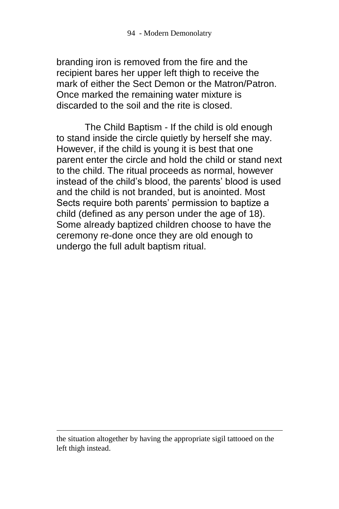branding iron is removed from the fire and the recipient bares her upper left thigh to receive the mark of either the Sect Demon or the Matron/Patron. Once marked the remaining water mixture is discarded to the soil and the rite is closed.

The Child Baptism - If the child is old enough to stand inside the circle quietly by herself she may. However, if the child is young it is best that one parent enter the circle and hold the child or stand next to the child. The ritual proceeds as normal, however instead of the child's blood, the parents' blood is used and the child is not branded, but is anointed. Most Sects require both parents' permission to baptize a child (defined as any person under the age of 18). Some already baptized children choose to have the ceremony re-done once they are old enough to undergo the full adult baptism ritual.

 $\overline{a}$ 

the situation altogether by having the appropriate sigil tattooed on the left thigh instead.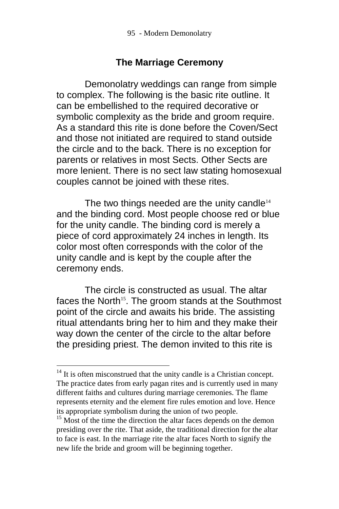### **The Marriage Ceremony**

Demonolatry weddings can range from simple to complex. The following is the basic rite outline. It can be embellished to the required decorative or symbolic complexity as the bride and groom require. As a standard this rite is done before the Coven/Sect and those not initiated are required to stand outside the circle and to the back. There is no exception for parents or relatives in most Sects. Other Sects are more lenient. There is no sect law stating homosexual couples cannot be joined with these rites.

The two things needed are the unity candle<sup>14</sup> and the binding cord. Most people choose red or blue for the unity candle. The binding cord is merely a piece of cord approximately 24 inches in length. Its color most often corresponds with the color of the unity candle and is kept by the couple after the ceremony ends.

The circle is constructed as usual. The altar faces the North<sup>15</sup>. The groom stands at the Southmost point of the circle and awaits his bride. The assisting ritual attendants bring her to him and they make their way down the center of the circle to the altar before the presiding priest. The demon invited to this rite is

 $\overline{a}$ 

 $14$  It is often misconstrued that the unity candle is a Christian concept. The practice dates from early pagan rites and is currently used in many different faiths and cultures during marriage ceremonies. The flame represents eternity and the element fire rules emotion and love. Hence its appropriate symbolism during the union of two people.

<sup>&</sup>lt;sup>15</sup> Most of the time the direction the altar faces depends on the demon presiding over the rite. That aside, the traditional direction for the altar to face is east. In the marriage rite the altar faces North to signify the new life the bride and groom will be beginning together.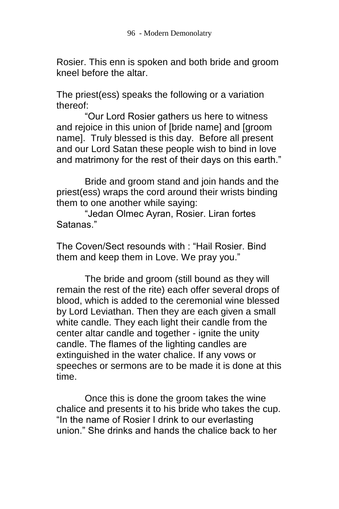Rosier. This enn is spoken and both bride and groom kneel before the altar.

The priest(ess) speaks the following or a variation thereof:

"Our Lord Rosier gathers us here to witness and rejoice in this union of [bride name] and [groom name]. Truly blessed is this day. Before all present and our Lord Satan these people wish to bind in love and matrimony for the rest of their days on this earth."

Bride and groom stand and join hands and the priest(ess) wraps the cord around their wrists binding them to one another while saying:

"Jedan Olmec Ayran, Rosier. Liran fortes Satanas."

The Coven/Sect resounds with : "Hail Rosier. Bind them and keep them in Love. We pray you."

The bride and groom (still bound as they will remain the rest of the rite) each offer several drops of blood, which is added to the ceremonial wine blessed by Lord Leviathan. Then they are each given a small white candle. They each light their candle from the center altar candle and together - ignite the unity candle. The flames of the lighting candles are extinguished in the water chalice. If any vows or speeches or sermons are to be made it is done at this time.

Once this is done the groom takes the wine chalice and presents it to his bride who takes the cup. "In the name of Rosier I drink to our everlasting union." She drinks and hands the chalice back to her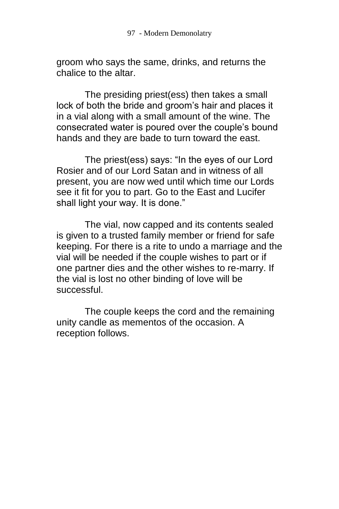groom who says the same, drinks, and returns the chalice to the altar.

The presiding priest(ess) then takes a small lock of both the bride and groom's hair and places it in a vial along with a small amount of the wine. The consecrated water is poured over the couple's bound hands and they are bade to turn toward the east.

The priest(ess) says: "In the eyes of our Lord Rosier and of our Lord Satan and in witness of all present, you are now wed until which time our Lords see it fit for you to part. Go to the East and Lucifer shall light your way. It is done."

The vial, now capped and its contents sealed is given to a trusted family member or friend for safe keeping. For there is a rite to undo a marriage and the vial will be needed if the couple wishes to part or if one partner dies and the other wishes to re-marry. If the vial is lost no other binding of love will be successful.

The couple keeps the cord and the remaining unity candle as mementos of the occasion. A reception follows.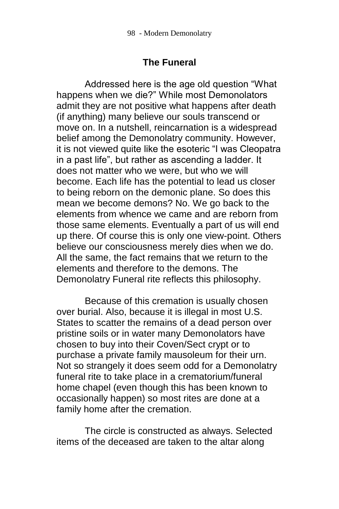### **The Funeral**

Addressed here is the age old question "What happens when we die?" While most Demonolators admit they are not positive what happens after death (if anything) many believe our souls transcend or move on. In a nutshell, reincarnation is a widespread belief among the Demonolatry community. However, it is not viewed quite like the esoteric "I was Cleopatra in a past life", but rather as ascending a ladder. It does not matter who we were, but who we will become. Each life has the potential to lead us closer to being reborn on the demonic plane. So does this mean we become demons? No. We go back to the elements from whence we came and are reborn from those same elements. Eventually a part of us will end up there. Of course this is only one view-point. Others believe our consciousness merely dies when we do. All the same, the fact remains that we return to the elements and therefore to the demons. The Demonolatry Funeral rite reflects this philosophy.

Because of this cremation is usually chosen over burial. Also, because it is illegal in most U.S. States to scatter the remains of a dead person over pristine soils or in water many Demonolators have chosen to buy into their Coven/Sect crypt or to purchase a private family mausoleum for their urn. Not so strangely it does seem odd for a Demonolatry funeral rite to take place in a crematorium/funeral home chapel (even though this has been known to occasionally happen) so most rites are done at a family home after the cremation.

The circle is constructed as always. Selected items of the deceased are taken to the altar along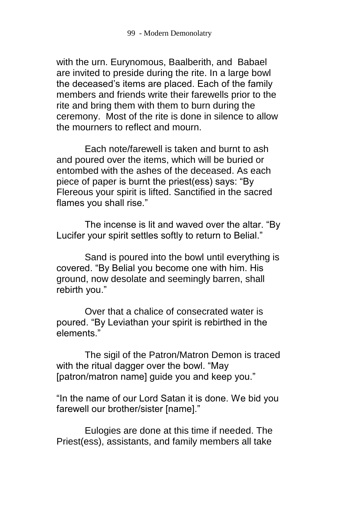with the urn. Eurynomous, Baalberith, and Babael are invited to preside during the rite. In a large bowl the deceased's items are placed. Each of the family members and friends write their farewells prior to the rite and bring them with them to burn during the ceremony. Most of the rite is done in silence to allow the mourners to reflect and mourn.

Each note/farewell is taken and burnt to ash and poured over the items, which will be buried or entombed with the ashes of the deceased. As each piece of paper is burnt the priest(ess) says: "By Flereous your spirit is lifted. Sanctified in the sacred flames you shall rise."

The incense is lit and waved over the altar. "By Lucifer your spirit settles softly to return to Belial."

Sand is poured into the bowl until everything is covered. "By Belial you become one with him. His ground, now desolate and seemingly barren, shall rebirth you."

Over that a chalice of consecrated water is poured. "By Leviathan your spirit is rebirthed in the elements."

The sigil of the Patron/Matron Demon is traced with the ritual dagger over the bowl. "May [patron/matron name] guide you and keep you."

"In the name of our Lord Satan it is done. We bid you farewell our brother/sister [name]."

Eulogies are done at this time if needed. The Priest(ess), assistants, and family members all take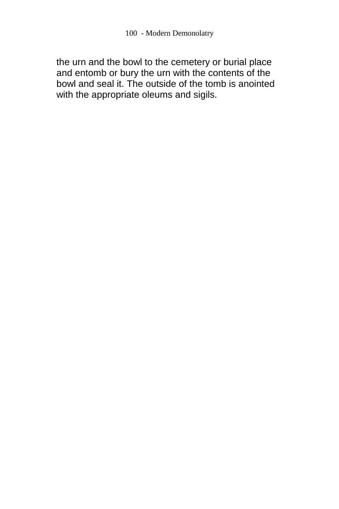the urn and the bowl to the cemetery or burial place and entomb or bury the urn with the contents of the bowl and seal it. The outside of the tomb is anointed with the appropriate oleums and sigils.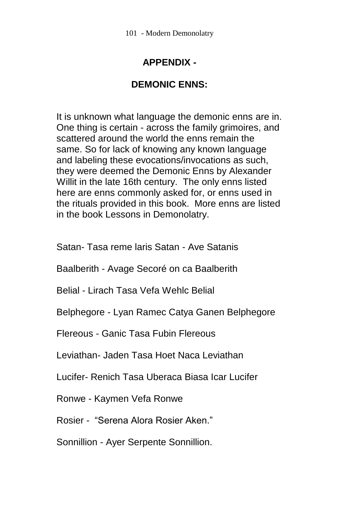# **APPENDIX -**

### **DEMONIC ENNS:**

It is unknown what language the demonic enns are in. One thing is certain - across the family grimoires, and scattered around the world the enns remain the same. So for lack of knowing any known language and labeling these evocations/invocations as such, they were deemed the Demonic Enns by Alexander Willit in the late 16th century. The only enns listed here are enns commonly asked for, or enns used in the rituals provided in this book. More enns are listed in the book Lessons in Demonolatry.

Satan- Tasa reme laris Satan - Ave Satanis

Baalberith - Avage Secoré on ca Baalberith

Belial - Lirach Tasa Vefa Wehlc Belial

Belphegore - Lyan Ramec Catya Ganen Belphegore

Flereous - Ganic Tasa Fubin Flereous

Leviathan- Jaden Tasa Hoet Naca Leviathan

Lucifer- Renich Tasa Uberaca Biasa Icar Lucifer

Ronwe - Kaymen Vefa Ronwe

Rosier - "Serena Alora Rosier Aken."

Sonnillion - Ayer Serpente Sonnillion.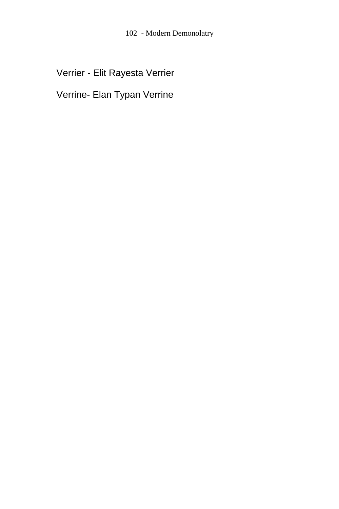Verrier - Elit Rayesta Verrier

Verrine- Elan Typan Verrine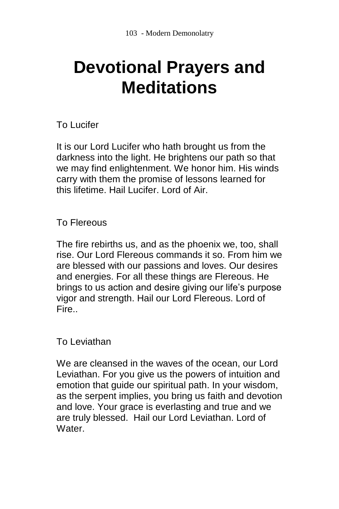# **Devotional Prayers and Meditations**

# To Lucifer

It is our Lord Lucifer who hath brought us from the darkness into the light. He brightens our path so that we may find enlightenment. We honor him. His winds carry with them the promise of lessons learned for this lifetime. Hail Lucifer. Lord of Air.

### To Flereous

The fire rebirths us, and as the phoenix we, too, shall rise. Our Lord Flereous commands it so. From him we are blessed with our passions and loves. Our desires and energies. For all these things are Flereous. He brings to us action and desire giving our life's purpose vigor and strength. Hail our Lord Flereous. Lord of Fire..

### To Leviathan

We are cleansed in the waves of the ocean, our Lord Leviathan. For you give us the powers of intuition and emotion that guide our spiritual path. In your wisdom, as the serpent implies, you bring us faith and devotion and love. Your grace is everlasting and true and we are truly blessed. Hail our Lord Leviathan. Lord of Water.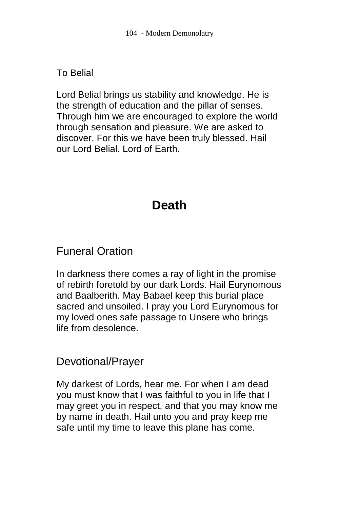# To Belial

Lord Belial brings us stability and knowledge. He is the strength of education and the pillar of senses. Through him we are encouraged to explore the world through sensation and pleasure. We are asked to discover. For this we have been truly blessed. Hail our Lord Belial. Lord of Earth.

# **Death**

# Funeral Oration

In darkness there comes a ray of light in the promise of rebirth foretold by our dark Lords. Hail Eurynomous and Baalberith. May Babael keep this burial place sacred and unsoiled. I pray you Lord Eurynomous for my loved ones safe passage to Unsere who brings life from desolence.

# Devotional/Prayer

My darkest of Lords, hear me. For when I am dead you must know that I was faithful to you in life that I may greet you in respect, and that you may know me by name in death. Hail unto you and pray keep me safe until my time to leave this plane has come.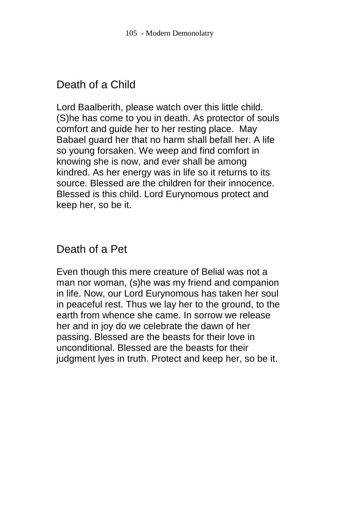# Death of a Child

Lord Baalberith, please watch over this little child. (S)he has come to you in death. As protector of souls comfort and guide her to her resting place. May Babael guard her that no harm shall befall her. A life so young forsaken. We weep and find comfort in knowing she is now, and ever shall be among kindred. As her energy was in life so it returns to its source. Blessed are the children for their innocence. Blessed is this child. Lord Eurynomous protect and keep her, so be it.

# Death of a Pet

Even though this mere creature of Belial was not a man nor woman, (s)he was my friend and companion in life. Now, our Lord Eurynomous has taken her soul in peaceful rest. Thus we lay her to the ground, to the earth from whence she came. In sorrow we release her and in joy do we celebrate the dawn of her passing. Blessed are the beasts for their love in unconditional. Blessed are the beasts for their judgment lyes in truth. Protect and keep her, so be it.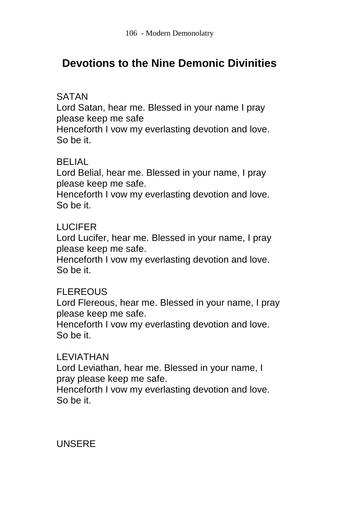# **Devotions to the Nine Demonic Divinities**

### SATAN

Lord Satan, hear me. Blessed in your name I pray please keep me safe

Henceforth I vow my everlasting devotion and love. So be it.

### BELIAL

Lord Belial, hear me. Blessed in your name, I pray please keep me safe.

Henceforth I vow my everlasting devotion and love. So be it.

### LUCIFER

Lord Lucifer, hear me. Blessed in your name, I pray please keep me safe.

Henceforth I vow my everlasting devotion and love. So be it.

### **FLEREOUS**

Lord Flereous, hear me. Blessed in your name, I pray please keep me safe.

Henceforth I vow my everlasting devotion and love. So be it.

### LEVIATHAN

Lord Leviathan, hear me. Blessed in your name, I pray please keep me safe.

Henceforth I vow my everlasting devotion and love. So be it.

### UNSERE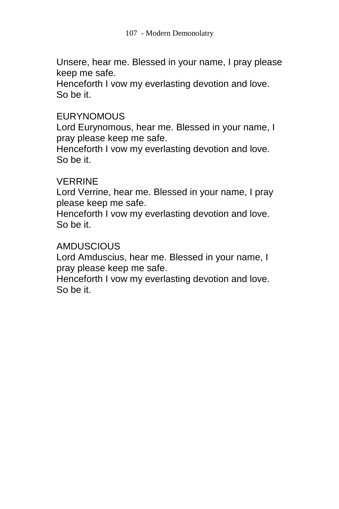Unsere, hear me. Blessed in your name, I pray please keep me safe.

Henceforth I vow my everlasting devotion and love. So be it.

### **EURYNOMOUS**

Lord Eurynomous, hear me. Blessed in your name, I pray please keep me safe.

Henceforth I vow my everlasting devotion and love. So be it.

### VERRINE

Lord Verrine, hear me. Blessed in your name, I pray please keep me safe.

Henceforth I vow my everlasting devotion and love. So be it.

### **AMDUSCIOUS**

Lord Amduscius, hear me. Blessed in your name, I pray please keep me safe.

Henceforth I vow my everlasting devotion and love. So be it.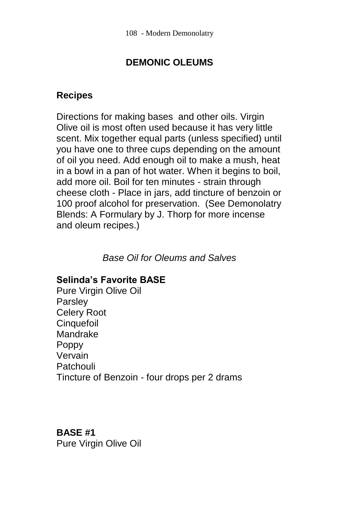# **DEMONIC OLEUMS**

### **Recipes**

Directions for making bases and other oils. Virgin Olive oil is most often used because it has very little scent. Mix together equal parts (unless specified) until you have one to three cups depending on the amount of oil you need. Add enough oil to make a mush, heat in a bowl in a pan of hot water. When it begins to boil, add more oil. Boil for ten minutes - strain through cheese cloth - Place in jars, add tincture of benzoin or 100 proof alcohol for preservation. (See Demonolatry Blends: A Formulary by J. Thorp for more incense and oleum recipes.)

*Base Oil for Oleums and Salves*

### **Selinda's Favorite BASE**

Pure Virgin Olive Oil Parsley Celery Root **Cinquefoil** Mandrake Poppy Vervain Patchouli Tincture of Benzoin - four drops per 2 drams

### **BASE #1**

Pure Virgin Olive Oil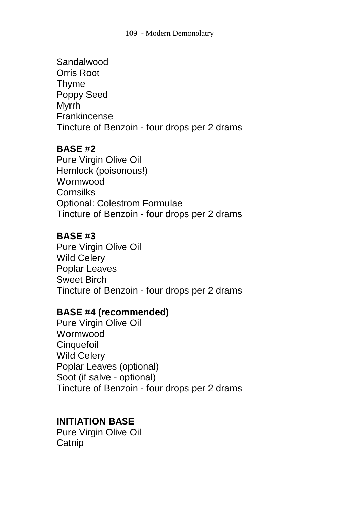### Sandalwood Orris Root Thyme Poppy Seed Myrrh Frankincense Tincture of Benzoin - four drops per 2 drams

### **BASE #2**

Pure Virgin Olive Oil Hemlock (poisonous!) Wormwood **Cornsilks** Optional: Colestrom Formulae Tincture of Benzoin - four drops per 2 drams

### **BASE #3**

Pure Virgin Olive Oil Wild Celery Poplar Leaves Sweet Birch Tincture of Benzoin - four drops per 2 drams

### **BASE #4 (recommended)**

Pure Virgin Olive Oil **Wormwood Cinquefoil** Wild Celery Poplar Leaves (optional) Soot (if salve - optional) Tincture of Benzoin - four drops per 2 drams

### **INITIATION BASE**

Pure Virgin Olive Oil **Catnip**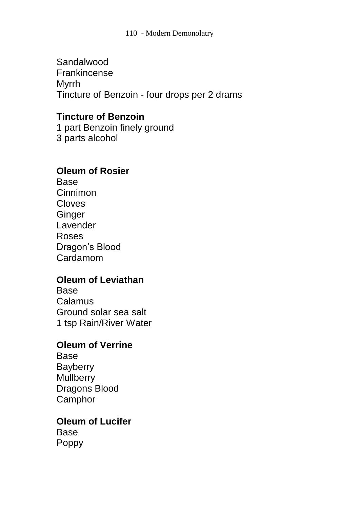Sandalwood Frankincense Myrrh Tincture of Benzoin - four drops per 2 drams

### **Tincture of Benzoin**

1 part Benzoin finely ground 3 parts alcohol

### **Oleum of Rosier**

Base Cinnimon Cloves **Ginger** Lavender Roses Dragon's Blood Cardamom

### **Oleum of Leviathan**

Base Calamus Ground solar sea salt 1 tsp Rain/River Water

# **Oleum of Verrine**

Base **Bayberry Mullberry** Dragons Blood **Camphor** 

# **Oleum of Lucifer**

Base Poppy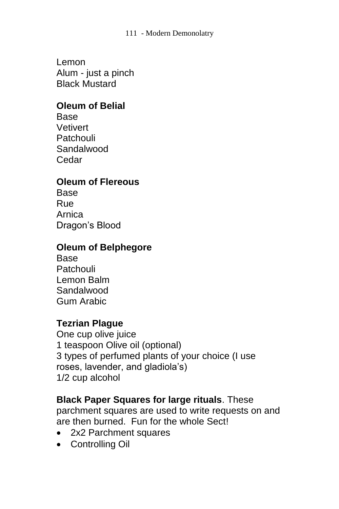#### 111 - Modern Demonolatry

Lemon Alum - just a pinch Black Mustard

### **Oleum of Belial**

**Base Vetivert Patchouli** Sandalwood Cedar

### **Oleum of Flereous**

Base Rue Arnica Dragon's Blood

### **Oleum of Belphegore**

Base **Patchouli** Lemon Balm Sandalwood Gum Arabic

### **Tezrian Plague**

One cup olive juice 1 teaspoon Olive oil (optional) 3 types of perfumed plants of your choice (I use roses, lavender, and gladiola's) 1/2 cup alcohol

### **Black Paper Squares for large rituals**. These

parchment squares are used to write requests on and are then burned. Fun for the whole Sect!

- 2x2 Parchment squares
- Controlling Oil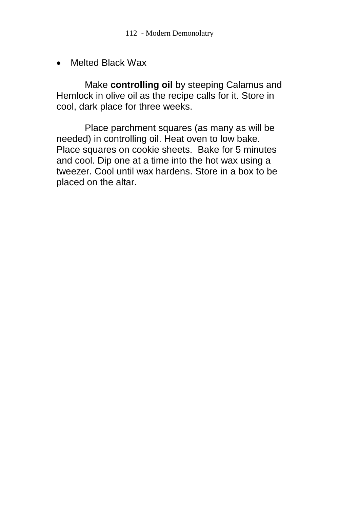Melted Black Wax

Make **controlling oil** by steeping Calamus and Hemlock in olive oil as the recipe calls for it. Store in cool, dark place for three weeks.

Place parchment squares (as many as will be needed) in controlling oil. Heat oven to low bake. Place squares on cookie sheets. Bake for 5 minutes and cool. Dip one at a time into the hot wax using a tweezer. Cool until wax hardens. Store in a box to be placed on the altar.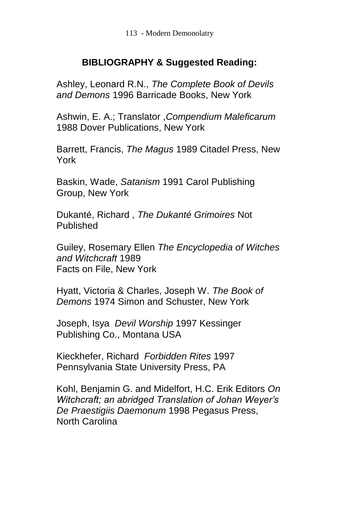### **BIBLIOGRAPHY & Suggested Reading:**

Ashley, Leonard R.N., *The Complete Book of Devils and Demons* 1996 Barricade Books, New York

Ashwin, E. A.; Translator ,*Compendium Maleficarum*  1988 Dover Publications, New York

Barrett, Francis, *The Magus* 1989 Citadel Press, New York

Baskin, Wade, *Satanism* 1991 Carol Publishing Group, New York

Dukanté, Richard , *The Dukanté Grimoires* Not Published

Guiley, Rosemary Ellen *The Encyclopedia of Witches and Witchcraft* 1989 Facts on File, New York

Hyatt, Victoria & Charles, Joseph W. *The Book of Demons* 1974 Simon and Schuster, New York

Joseph, Isya *Devil Worship* 1997 Kessinger Publishing Co., Montana USA

Kieckhefer, Richard *Forbidden Rites* 1997 Pennsylvania State University Press, PA

Kohl, Benjamin G. and Midelfort, H.C. Erik Editors *On Witchcraft; an abridged Translation of Johan Weyer's De Praestigiis Daemonum* 1998 Pegasus Press, North Carolina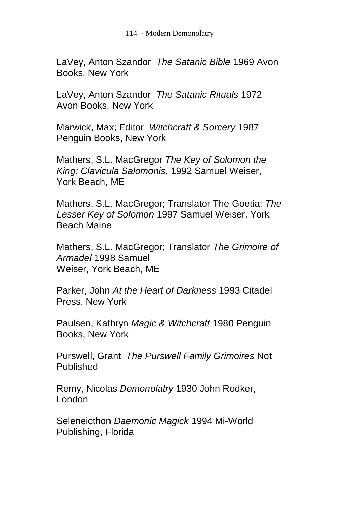LaVey, Anton Szandor *The Satanic Bible* 1969 Avon Books, New York

LaVey, Anton Szandor *The Satanic Rituals* 1972 Avon Books, New York

Marwick, Max; Editor *Witchcraft & Sorcery* 1987 Penguin Books, New York

Mathers, S.L. MacGregor *The Key of Solomon the King: Clavicula Salomonis*, 1992 Samuel Weiser, York Beach, ME

Mathers, S.L. MacGregor; Translator The Goetia: *The Lesser Key of Solomon* 1997 Samuel Weiser, York Beach Maine

Mathers, S.L. MacGregor; Translator *The Grimoire of Armadel* 1998 Samuel Weiser, York Beach, ME

Parker, John *At the Heart of Darkness* 1993 Citadel Press, New York

Paulsen, Kathryn *Magic & Witchcraft* 1980 Penguin Books, New York

Purswell, Grant *The Purswell Family Grimoires* Not Published

Remy, Nicolas *Demonolatry* 1930 John Rodker, London

Seleneicthon *Daemonic Magick* 1994 Mi-World Publishing, Florida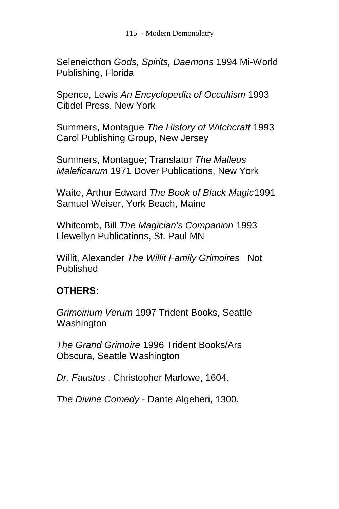115 - Modern Demonolatry

Seleneicthon *Gods, Spirits, Daemons* 1994 Mi-World Publishing, Florida

Spence, Lewis *An Encyclopedia of Occultism* 1993 Citidel Press, New York

Summers, Montague *The History of Witchcraft* 1993 Carol Publishing Group, New Jersey

Summers, Montague; Translator *The Malleus Maleficarum* 1971 Dover Publications, New York

Waite, Arthur Edward *The Book of Black Magic*1991 Samuel Weiser, York Beach, Maine

Whitcomb, Bill *The Magician's Companion* 1993 Llewellyn Publications, St. Paul MN

Willit, Alexander *The Willit Family Grimoires* Not Published

## **OTHERS:**

*Grimoirium Verum* 1997 Trident Books, Seattle Washington

*The Grand Grimoire* 1996 Trident Books/Ars Obscura, Seattle Washington

*Dr. Faustus* , Christopher Marlowe, 1604.

*The Divine Comedy* - Dante Algeheri, 1300.